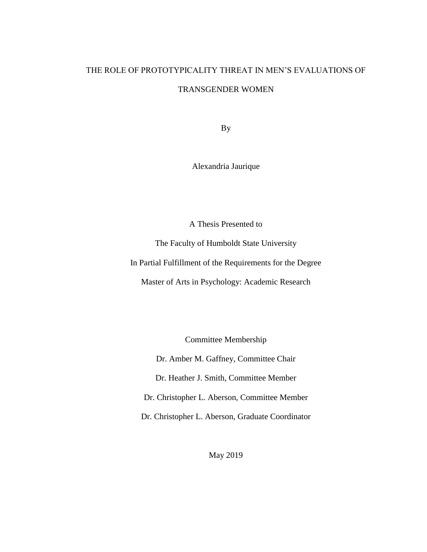# THE ROLE OF PROTOTYPICALITY THREAT IN MEN'S EVALUATIONS OF TRANSGENDER WOMEN

By

Alexandria Jaurique

A Thesis Presented to

The Faculty of Humboldt State University

In Partial Fulfillment of the Requirements for the Degree

Master of Arts in Psychology: Academic Research

Committee Membership

Dr. Amber M. Gaffney, Committee Chair

Dr. Heather J. Smith, Committee Member

Dr. Christopher L. Aberson, Committee Member

Dr. Christopher L. Aberson, Graduate Coordinator

May 2019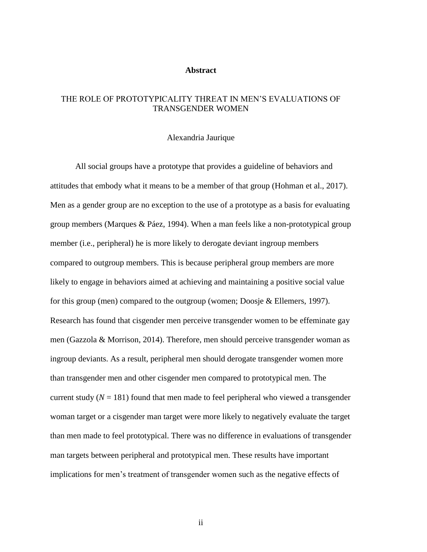## **Abstract**

# <span id="page-1-0"></span>THE ROLE OF PROTOTYPICALITY THREAT IN MEN'S EVALUATIONS OF TRANSGENDER WOMEN

## Alexandria Jaurique

All social groups have a prototype that provides a guideline of behaviors and attitudes that embody what it means to be a member of that group (Hohman et al., 2017). Men as a gender group are no exception to the use of a prototype as a basis for evaluating group members (Marques & Páez, 1994). When a man feels like a non-prototypical group member (i.e., peripheral) he is more likely to derogate deviant ingroup members compared to outgroup members. This is because peripheral group members are more likely to engage in behaviors aimed at achieving and maintaining a positive social value for this group (men) compared to the outgroup (women; Doosje & Ellemers, 1997). Research has found that cisgender men perceive transgender women to be effeminate gay men (Gazzola & Morrison, 2014). Therefore, men should perceive transgender woman as ingroup deviants. As a result, peripheral men should derogate transgender women more than transgender men and other cisgender men compared to prototypical men. The current study  $(N = 181)$  found that men made to feel peripheral who viewed a transgender woman target or a cisgender man target were more likely to negatively evaluate the target than men made to feel prototypical. There was no difference in evaluations of transgender man targets between peripheral and prototypical men. These results have important implications for men's treatment of transgender women such as the negative effects of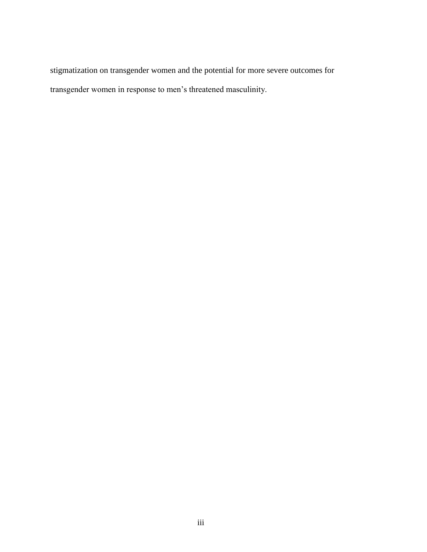stigmatization on transgender women and the potential for more severe outcomes for transgender women in response to men's threatened masculinity.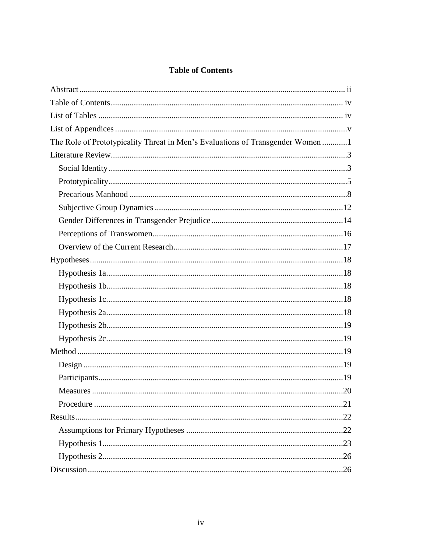# **Table of Contents**

<span id="page-3-0"></span>

| The Role of Prototypicality Threat in Men's Evaluations of Transgender Women 1 |  |
|--------------------------------------------------------------------------------|--|
|                                                                                |  |
|                                                                                |  |
|                                                                                |  |
|                                                                                |  |
|                                                                                |  |
|                                                                                |  |
|                                                                                |  |
|                                                                                |  |
|                                                                                |  |
|                                                                                |  |
|                                                                                |  |
|                                                                                |  |
|                                                                                |  |
|                                                                                |  |
|                                                                                |  |
|                                                                                |  |
|                                                                                |  |
|                                                                                |  |
|                                                                                |  |
|                                                                                |  |
|                                                                                |  |
|                                                                                |  |
|                                                                                |  |
|                                                                                |  |
|                                                                                |  |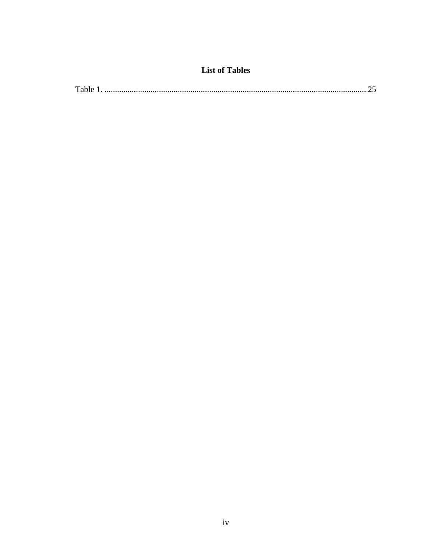# **List of Tables**

<span id="page-5-0"></span>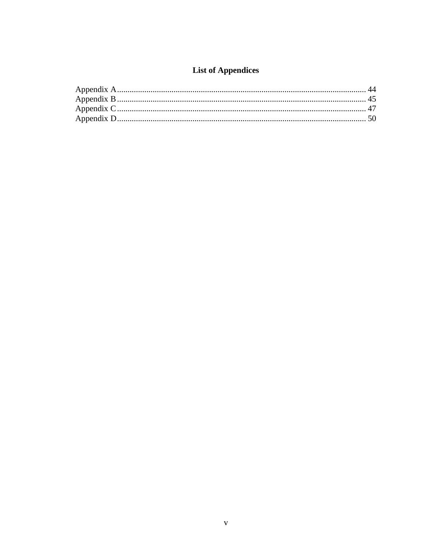# **List of Appendices**

<span id="page-6-0"></span>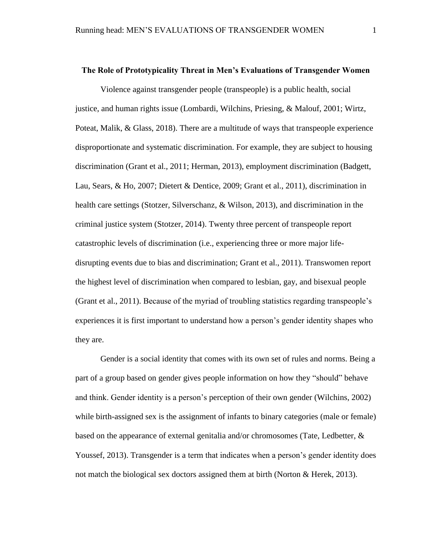#### <span id="page-7-0"></span>**The Role of Prototypicality Threat in Men's Evaluations of Transgender Women**

Violence against transgender people (transpeople) is a public health, social justice, and human rights issue (Lombardi, Wilchins, Priesing, & Malouf, 2001; Wirtz, Poteat, Malik, & Glass, 2018). There are a multitude of ways that transpeople experience disproportionate and systematic discrimination. For example, they are subject to housing discrimination (Grant et al., 2011; Herman, 2013), employment discrimination (Badgett, Lau, Sears, & Ho, 2007; Dietert & Dentice, 2009; Grant et al., 2011), discrimination in health care settings (Stotzer, Silverschanz, & Wilson, 2013), and discrimination in the criminal justice system (Stotzer, 2014). Twenty three percent of transpeople report catastrophic levels of discrimination (i.e., experiencing three or more major lifedisrupting events due to bias and discrimination; Grant et al., 2011). Transwomen report the highest level of discrimination when compared to lesbian, gay, and bisexual people (Grant et al., 2011). Because of the myriad of troubling statistics regarding transpeople's experiences it is first important to understand how a person's gender identity shapes who they are.

Gender is a social identity that comes with its own set of rules and norms. Being a part of a group based on gender gives people information on how they "should" behave and think. Gender identity is a person's perception of their own gender (Wilchins, 2002) while birth-assigned sex is the assignment of infants to binary categories (male or female) based on the appearance of external genitalia and/or chromosomes (Tate, Ledbetter, & Youssef, 2013). Transgender is a term that indicates when a person's gender identity does not match the biological sex doctors assigned them at birth (Norton & Herek, 2013).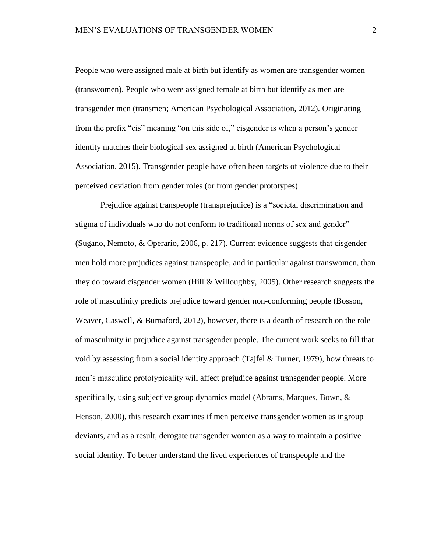People who were assigned male at birth but identify as women are transgender women (transwomen). People who were assigned female at birth but identify as men are transgender men (transmen; American Psychological Association, 2012). Originating from the prefix "cis" meaning "on this side of," cisgender is when a person's gender identity matches their biological sex assigned at birth (American Psychological Association, 2015). Transgender people have often been targets of violence due to their perceived deviation from gender roles (or from gender prototypes).

Prejudice against transpeople (transprejudice) is a "societal discrimination and stigma of individuals who do not conform to traditional norms of sex and gender" (Sugano, Nemoto, & Operario, 2006, p. 217). Current evidence suggests that cisgender men hold more prejudices against transpeople, and in particular against transwomen, than they do toward cisgender women (Hill  $&$  Willoughby, 2005). Other research suggests the role of masculinity predicts prejudice toward gender non-conforming people (Bosson, Weaver, Caswell, & Burnaford, 2012), however, there is a dearth of research on the role of masculinity in prejudice against transgender people. The current work seeks to fill that void by assessing from a social identity approach (Tajfel  $&$  Turner, 1979), how threats to men's masculine prototypicality will affect prejudice against transgender people. More specifically, using subjective group dynamics model (Abrams, Marques, Bown, & Henson, 2000), this research examines if men perceive transgender women as ingroup deviants, and as a result, derogate transgender women as a way to maintain a positive social identity. To better understand the lived experiences of transpeople and the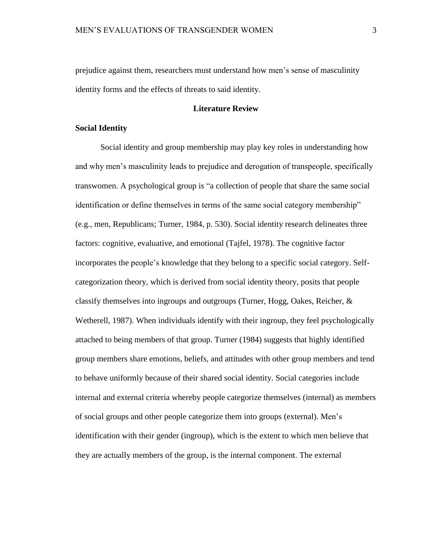prejudice against them, researchers must understand how men's sense of masculinity identity forms and the effects of threats to said identity.

# **Literature Review**

## <span id="page-9-1"></span><span id="page-9-0"></span>**Social Identity**

Social identity and group membership may play key roles in understanding how and why men's masculinity leads to prejudice and derogation of transpeople, specifically transwomen. A psychological group is "a collection of people that share the same social identification or define themselves in terms of the same social category membership" (e.g., men, Republicans; Turner, 1984, p. 530). Social identity research delineates three factors: cognitive, evaluative, and emotional (Tajfel, 1978). The cognitive factor incorporates the people's knowledge that they belong to a specific social category. Selfcategorization theory, which is derived from social identity theory, posits that people classify themselves into ingroups and outgroups (Turner, Hogg, Oakes, Reicher, & Wetherell, 1987). When individuals identify with their ingroup, they feel psychologically attached to being members of that group. Turner (1984) suggests that highly identified group members share emotions, beliefs, and attitudes with other group members and tend to behave uniformly because of their shared social identity. Social categories include internal and external criteria whereby people categorize themselves (internal) as members of social groups and other people categorize them into groups (external). Men's identification with their gender (ingroup), which is the extent to which men believe that they are actually members of the group, is the internal component. The external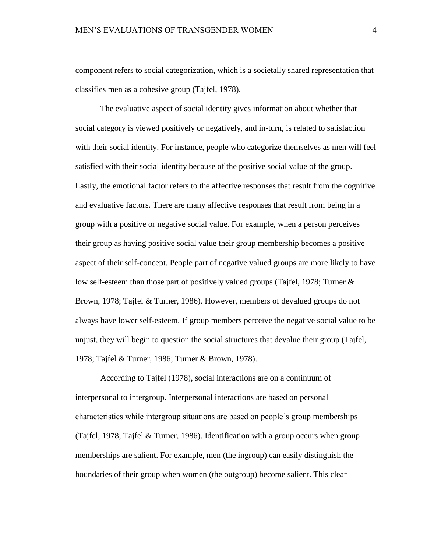component refers to social categorization, which is a societally shared representation that classifies men as a cohesive group (Tajfel, 1978).

The evaluative aspect of social identity gives information about whether that social category is viewed positively or negatively, and in-turn, is related to satisfaction with their social identity. For instance, people who categorize themselves as men will feel satisfied with their social identity because of the positive social value of the group. Lastly, the emotional factor refers to the affective responses that result from the cognitive and evaluative factors. There are many affective responses that result from being in a group with a positive or negative social value. For example, when a person perceives their group as having positive social value their group membership becomes a positive aspect of their self-concept. People part of negative valued groups are more likely to have low self-esteem than those part of positively valued groups (Tajfel, 1978; Turner & Brown, 1978; Tajfel & Turner, 1986). However, members of devalued groups do not always have lower self-esteem. If group members perceive the negative social value to be unjust, they will begin to question the social structures that devalue their group (Tajfel, 1978; Tajfel & Turner, 1986; Turner & Brown, 1978).

According to Tajfel (1978), social interactions are on a continuum of interpersonal to intergroup. Interpersonal interactions are based on personal characteristics while intergroup situations are based on people's group memberships (Tajfel, 1978; Tajfel & Turner, 1986). Identification with a group occurs when group memberships are salient. For example, men (the ingroup) can easily distinguish the boundaries of their group when women (the outgroup) become salient. This clear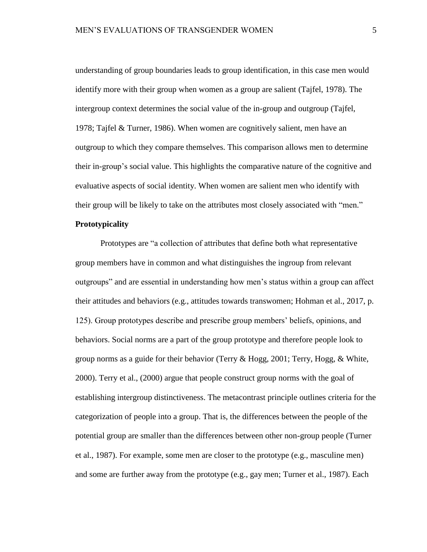understanding of group boundaries leads to group identification, in this case men would identify more with their group when women as a group are salient (Tajfel, 1978). The intergroup context determines the social value of the in-group and outgroup (Tajfel, 1978; Tajfel & Turner, 1986). When women are cognitively salient, men have an outgroup to which they compare themselves. This comparison allows men to determine their in-group's social value. This highlights the comparative nature of the cognitive and evaluative aspects of social identity. When women are salient men who identify with their group will be likely to take on the attributes most closely associated with "men."

# <span id="page-11-0"></span>**Prototypicality**

Prototypes are "a collection of attributes that define both what representative group members have in common and what distinguishes the ingroup from relevant outgroups" and are essential in understanding how men's status within a group can affect their attitudes and behaviors (e.g., attitudes towards transwomen; Hohman et al., 2017, p. 125). Group prototypes describe and prescribe group members' beliefs, opinions, and behaviors. Social norms are a part of the group prototype and therefore people look to group norms as a guide for their behavior (Terry  $\&$  Hogg, 2001; Terry, Hogg,  $\&$  White, 2000). Terry et al., (2000) argue that people construct group norms with the goal of establishing intergroup distinctiveness. The metacontrast principle outlines criteria for the categorization of people into a group. That is, the differences between the people of the potential group are smaller than the differences between other non-group people (Turner et al., 1987). For example, some men are closer to the prototype (e.g., masculine men) and some are further away from the prototype (e.g., gay men; Turner et al., 1987). Each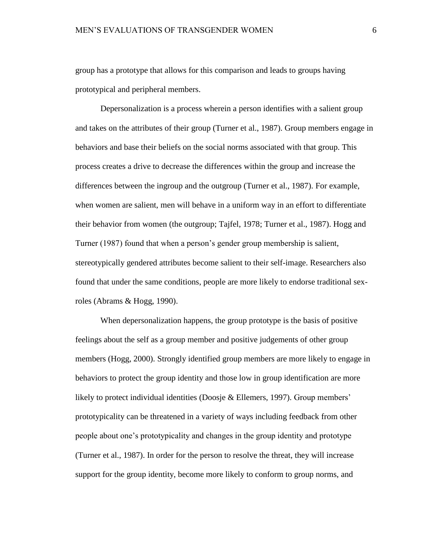group has a prototype that allows for this comparison and leads to groups having prototypical and peripheral members.

Depersonalization is a process wherein a person identifies with a salient group and takes on the attributes of their group (Turner et al., 1987). Group members engage in behaviors and base their beliefs on the social norms associated with that group. This process creates a drive to decrease the differences within the group and increase the differences between the ingroup and the outgroup (Turner et al., 1987). For example, when women are salient, men will behave in a uniform way in an effort to differentiate their behavior from women (the outgroup; Tajfel, 1978; Turner et al., 1987). Hogg and Turner (1987) found that when a person's gender group membership is salient, stereotypically gendered attributes become salient to their self-image. Researchers also found that under the same conditions, people are more likely to endorse traditional sexroles (Abrams & Hogg, 1990).

When depersonalization happens, the group prototype is the basis of positive feelings about the self as a group member and positive judgements of other group members (Hogg, 2000). Strongly identified group members are more likely to engage in behaviors to protect the group identity and those low in group identification are more likely to protect individual identities (Doosje & Ellemers, 1997). Group members' prototypicality can be threatened in a variety of ways including feedback from other people about one's prototypicality and changes in the group identity and prototype (Turner et al., 1987). In order for the person to resolve the threat, they will increase support for the group identity, become more likely to conform to group norms, and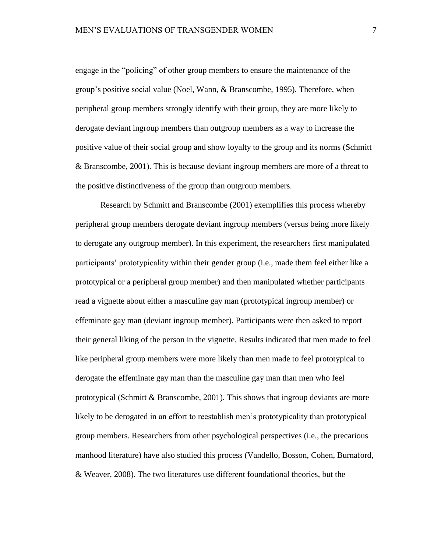engage in the "policing" of other group members to ensure the maintenance of the group's positive social value (Noel, Wann, & Branscombe, 1995). Therefore, when peripheral group members strongly identify with their group, they are more likely to derogate deviant ingroup members than outgroup members as a way to increase the positive value of their social group and show loyalty to the group and its norms (Schmitt & Branscombe, 2001). This is because deviant ingroup members are more of a threat to the positive distinctiveness of the group than outgroup members.

Research by Schmitt and Branscombe (2001) exemplifies this process whereby peripheral group members derogate deviant ingroup members (versus being more likely to derogate any outgroup member). In this experiment, the researchers first manipulated participants' prototypicality within their gender group (i.e., made them feel either like a prototypical or a peripheral group member) and then manipulated whether participants read a vignette about either a masculine gay man (prototypical ingroup member) or effeminate gay man (deviant ingroup member). Participants were then asked to report their general liking of the person in the vignette. Results indicated that men made to feel like peripheral group members were more likely than men made to feel prototypical to derogate the effeminate gay man than the masculine gay man than men who feel prototypical (Schmitt  $\&$  Branscombe, 2001). This shows that ingroup deviants are more likely to be derogated in an effort to reestablish men's prototypicality than prototypical group members. Researchers from other psychological perspectives (i.e., the precarious manhood literature) have also studied this process (Vandello, Bosson, Cohen, Burnaford, & Weaver, 2008). The two literatures use different foundational theories, but the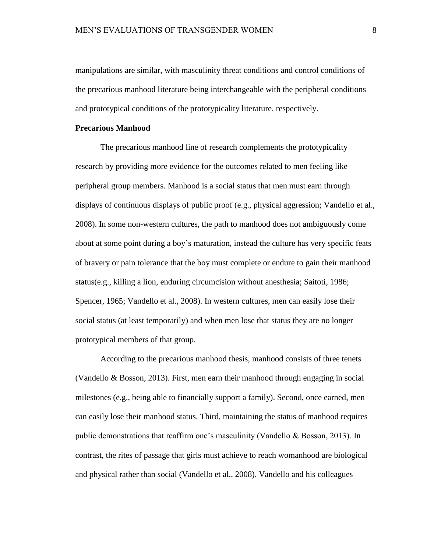manipulations are similar, with masculinity threat conditions and control conditions of the precarious manhood literature being interchangeable with the peripheral conditions and prototypical conditions of the prototypicality literature, respectively.

# <span id="page-14-0"></span>**Precarious Manhood**

The precarious manhood line of research complements the prototypicality research by providing more evidence for the outcomes related to men feeling like peripheral group members. Manhood is a social status that men must earn through displays of continuous displays of public proof (e.g., physical aggression; Vandello et al., 2008). In some non-western cultures, the path to manhood does not ambiguously come about at some point during a boy's maturation, instead the culture has very specific feats of bravery or pain tolerance that the boy must complete or endure to gain their manhood status(e.g., killing a lion, enduring circumcision without anesthesia; Saitoti, 1986; Spencer, 1965; Vandello et al., 2008). In western cultures, men can easily lose their social status (at least temporarily) and when men lose that status they are no longer prototypical members of that group.

According to the precarious manhood thesis, manhood consists of three tenets (Vandello & Bosson, 2013). First, men earn their manhood through engaging in social milestones (e.g., being able to financially support a family). Second, once earned, men can easily lose their manhood status. Third, maintaining the status of manhood requires public demonstrations that reaffirm one's masculinity (Vandello & Bosson, 2013). In contrast, the rites of passage that girls must achieve to reach womanhood are biological and physical rather than social (Vandello et al., 2008). Vandello and his colleagues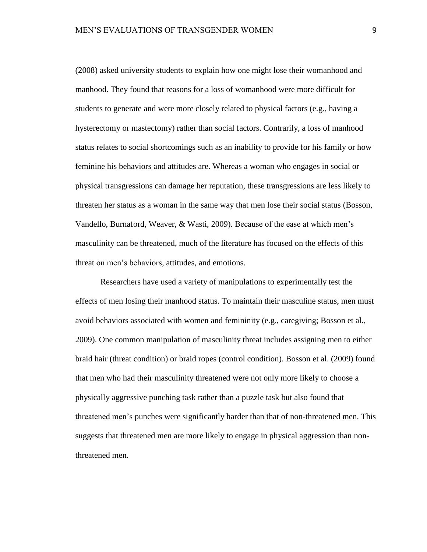(2008) asked university students to explain how one might lose their womanhood and manhood. They found that reasons for a loss of womanhood were more difficult for students to generate and were more closely related to physical factors (e.g., having a hysterectomy or mastectomy) rather than social factors. Contrarily, a loss of manhood status relates to social shortcomings such as an inability to provide for his family or how feminine his behaviors and attitudes are. Whereas a woman who engages in social or physical transgressions can damage her reputation, these transgressions are less likely to threaten her status as a woman in the same way that men lose their social status (Bosson, Vandello, Burnaford, Weaver, & Wasti, 2009). Because of the ease at which men's masculinity can be threatened, much of the literature has focused on the effects of this threat on men's behaviors, attitudes, and emotions.

Researchers have used a variety of manipulations to experimentally test the effects of men losing their manhood status. To maintain their masculine status, men must avoid behaviors associated with women and femininity (e.g., caregiving; Bosson et al., 2009). One common manipulation of masculinity threat includes assigning men to either braid hair (threat condition) or braid ropes (control condition). Bosson et al. (2009) found that men who had their masculinity threatened were not only more likely to choose a physically aggressive punching task rather than a puzzle task but also found that threatened men's punches were significantly harder than that of non-threatened men. This suggests that threatened men are more likely to engage in physical aggression than nonthreatened men.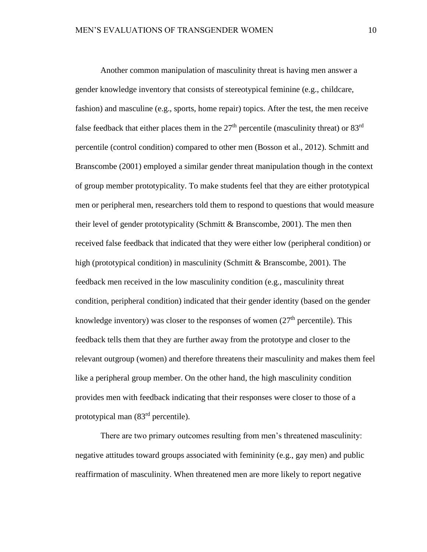Another common manipulation of masculinity threat is having men answer a gender knowledge inventory that consists of stereotypical feminine (e.g., childcare, fashion) and masculine (e.g., sports, home repair) topics. After the test, the men receive false feedback that either places them in the  $27<sup>th</sup>$  percentile (masculinity threat) or  $83<sup>rd</sup>$ percentile (control condition) compared to other men (Bosson et al., 2012). Schmitt and Branscombe (2001) employed a similar gender threat manipulation though in the context of group member prototypicality. To make students feel that they are either prototypical men or peripheral men, researchers told them to respond to questions that would measure their level of gender prototypicality (Schmitt & Branscombe, 2001). The men then received false feedback that indicated that they were either low (peripheral condition) or high (prototypical condition) in masculinity (Schmitt & Branscombe, 2001). The feedback men received in the low masculinity condition (e.g., masculinity threat condition, peripheral condition) indicated that their gender identity (based on the gender knowledge inventory) was closer to the responses of women (27<sup>th</sup> percentile). This feedback tells them that they are further away from the prototype and closer to the relevant outgroup (women) and therefore threatens their masculinity and makes them feel like a peripheral group member. On the other hand, the high masculinity condition provides men with feedback indicating that their responses were closer to those of a prototypical man (83rd percentile).

There are two primary outcomes resulting from men's threatened masculinity: negative attitudes toward groups associated with femininity (e.g., gay men) and public reaffirmation of masculinity. When threatened men are more likely to report negative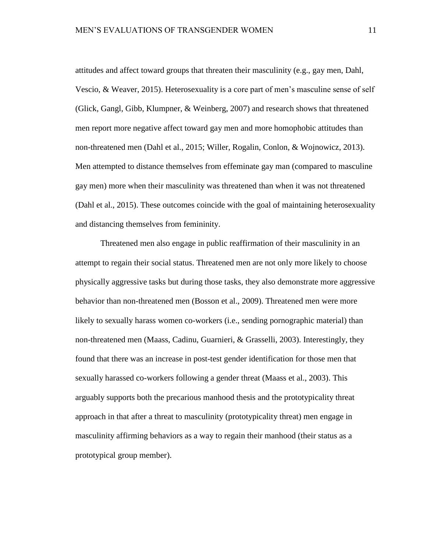attitudes and affect toward groups that threaten their masculinity (e.g., gay men, Dahl, Vescio, & Weaver, 2015). Heterosexuality is a core part of men's masculine sense of self (Glick, Gangl, Gibb, Klumpner, & Weinberg, 2007) and research shows that threatened men report more negative affect toward gay men and more homophobic attitudes than non-threatened men (Dahl et al., 2015; Willer, Rogalin, Conlon, & Wojnowicz, 2013). Men attempted to distance themselves from effeminate gay man (compared to masculine gay men) more when their masculinity was threatened than when it was not threatened (Dahl et al., 2015). These outcomes coincide with the goal of maintaining heterosexuality and distancing themselves from femininity.

Threatened men also engage in public reaffirmation of their masculinity in an attempt to regain their social status. Threatened men are not only more likely to choose physically aggressive tasks but during those tasks, they also demonstrate more aggressive behavior than non-threatened men (Bosson et al., 2009). Threatened men were more likely to sexually harass women co-workers (i.e., sending pornographic material) than non-threatened men (Maass, Cadinu, Guarnieri, & Grasselli, 2003). Interestingly, they found that there was an increase in post-test gender identification for those men that sexually harassed co-workers following a gender threat (Maass et al., 2003). This arguably supports both the precarious manhood thesis and the prototypicality threat approach in that after a threat to masculinity (prototypicality threat) men engage in masculinity affirming behaviors as a way to regain their manhood (their status as a prototypical group member).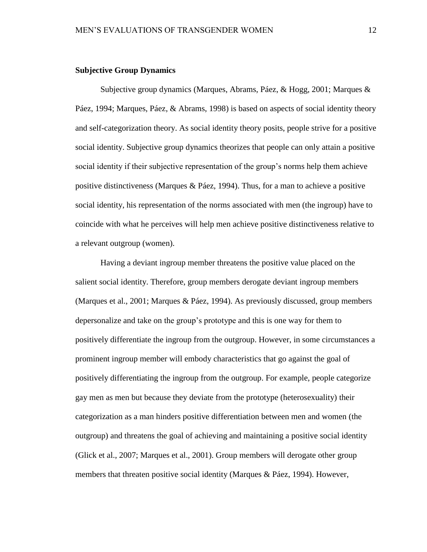## <span id="page-18-0"></span>**Subjective Group Dynamics**

Subjective group dynamics (Marques, Abrams, Páez, & Hogg, 2001; Marques & Páez, 1994; Marques, Páez, & Abrams, 1998) is based on aspects of social identity theory and self-categorization theory. As social identity theory posits, people strive for a positive social identity. Subjective group dynamics theorizes that people can only attain a positive social identity if their subjective representation of the group's norms help them achieve positive distinctiveness (Marques & Páez, 1994). Thus, for a man to achieve a positive social identity, his representation of the norms associated with men (the ingroup) have to coincide with what he perceives will help men achieve positive distinctiveness relative to a relevant outgroup (women).

Having a deviant ingroup member threatens the positive value placed on the salient social identity. Therefore, group members derogate deviant ingroup members (Marques et al., 2001; Marques & Páez, 1994). As previously discussed, group members depersonalize and take on the group's prototype and this is one way for them to positively differentiate the ingroup from the outgroup. However, in some circumstances a prominent ingroup member will embody characteristics that go against the goal of positively differentiating the ingroup from the outgroup. For example, people categorize gay men as men but because they deviate from the prototype (heterosexuality) their categorization as a man hinders positive differentiation between men and women (the outgroup) and threatens the goal of achieving and maintaining a positive social identity (Glick et al., 2007; Marques et al., 2001). Group members will derogate other group members that threaten positive social identity (Marques & Páez, 1994). However,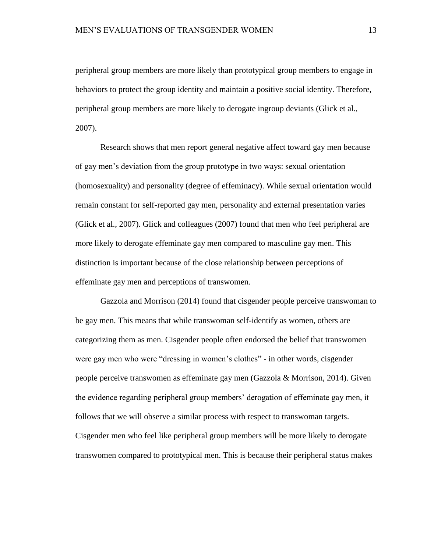peripheral group members are more likely than prototypical group members to engage in behaviors to protect the group identity and maintain a positive social identity. Therefore, peripheral group members are more likely to derogate ingroup deviants (Glick et al., 2007).

Research shows that men report general negative affect toward gay men because of gay men's deviation from the group prototype in two ways: sexual orientation (homosexuality) and personality (degree of effeminacy). While sexual orientation would remain constant for self-reported gay men, personality and external presentation varies (Glick et al., 2007). Glick and colleagues (2007) found that men who feel peripheral are more likely to derogate effeminate gay men compared to masculine gay men. This distinction is important because of the close relationship between perceptions of effeminate gay men and perceptions of transwomen.

Gazzola and Morrison (2014) found that cisgender people perceive transwoman to be gay men. This means that while transwoman self-identify as women, others are categorizing them as men. Cisgender people often endorsed the belief that transwomen were gay men who were "dressing in women's clothes" - in other words, cisgender people perceive transwomen as effeminate gay men (Gazzola & Morrison, 2014). Given the evidence regarding peripheral group members' derogation of effeminate gay men, it follows that we will observe a similar process with respect to transwoman targets. Cisgender men who feel like peripheral group members will be more likely to derogate transwomen compared to prototypical men. This is because their peripheral status makes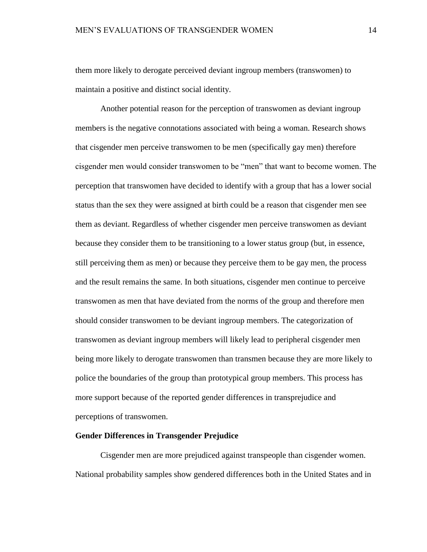them more likely to derogate perceived deviant ingroup members (transwomen) to maintain a positive and distinct social identity.

Another potential reason for the perception of transwomen as deviant ingroup members is the negative connotations associated with being a woman. Research shows that cisgender men perceive transwomen to be men (specifically gay men) therefore cisgender men would consider transwomen to be "men" that want to become women. The perception that transwomen have decided to identify with a group that has a lower social status than the sex they were assigned at birth could be a reason that cisgender men see them as deviant. Regardless of whether cisgender men perceive transwomen as deviant because they consider them to be transitioning to a lower status group (but, in essence, still perceiving them as men) or because they perceive them to be gay men, the process and the result remains the same. In both situations, cisgender men continue to perceive transwomen as men that have deviated from the norms of the group and therefore men should consider transwomen to be deviant ingroup members. The categorization of transwomen as deviant ingroup members will likely lead to peripheral cisgender men being more likely to derogate transwomen than transmen because they are more likely to police the boundaries of the group than prototypical group members. This process has more support because of the reported gender differences in transprejudice and perceptions of transwomen.

## <span id="page-20-0"></span>**Gender Differences in Transgender Prejudice**

Cisgender men are more prejudiced against transpeople than cisgender women. National probability samples show gendered differences both in the United States and in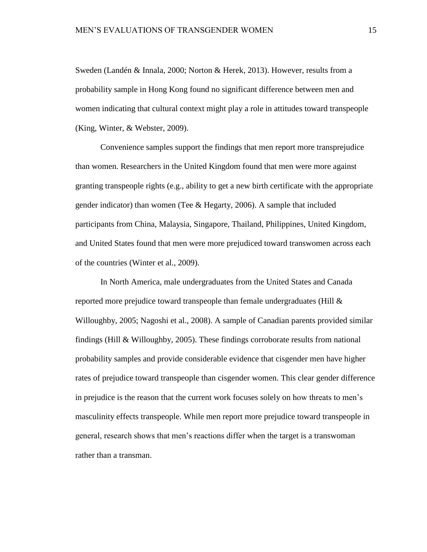Sweden (Landén & Innala, 2000; Norton & Herek, 2013). However, results from a probability sample in Hong Kong found no significant difference between men and women indicating that cultural context might play a role in attitudes toward transpeople (King, Winter, & Webster, 2009).

Convenience samples support the findings that men report more transprejudice than women. Researchers in the United Kingdom found that men were more against granting transpeople rights (e.g., ability to get a new birth certificate with the appropriate gender indicator) than women (Tee & Hegarty, 2006). A sample that included participants from China, Malaysia, Singapore, Thailand, Philippines, United Kingdom, and United States found that men were more prejudiced toward transwomen across each of the countries (Winter et al., 2009).

In North America, male undergraduates from the United States and Canada reported more prejudice toward transpeople than female undergraduates (Hill & Willoughby, 2005; Nagoshi et al., 2008). A sample of Canadian parents provided similar findings (Hill & Willoughby, 2005). These findings corroborate results from national probability samples and provide considerable evidence that cisgender men have higher rates of prejudice toward transpeople than cisgender women. This clear gender difference in prejudice is the reason that the current work focuses solely on how threats to men's masculinity effects transpeople. While men report more prejudice toward transpeople in general, research shows that men's reactions differ when the target is a transwoman rather than a transman.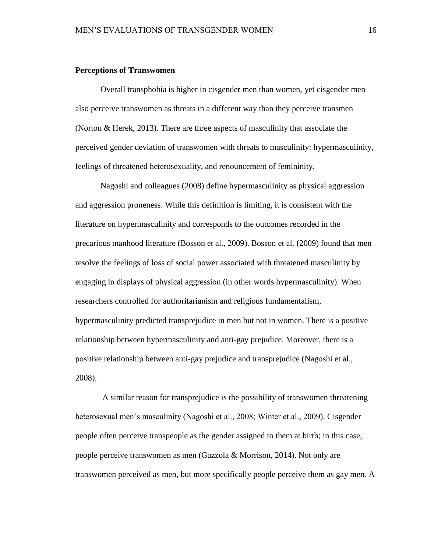### <span id="page-22-0"></span>**Perceptions of Transwomen**

Overall transphobia is higher in cisgender men than women, yet cisgender men also perceive transwomen as threats in a different way than they perceive transmen (Norton & Herek, 2013). There are three aspects of masculinity that associate the perceived gender deviation of transwomen with threats to masculinity: hypermasculinity, feelings of threatened heterosexuality, and renouncement of femininity.

Nagoshi and colleagues (2008) define hypermasculinity as physical aggression and aggression proneness. While this definition is limiting, it is consistent with the literature on hypermasculinity and corresponds to the outcomes recorded in the precarious manhood literature (Bosson et al., 2009). Bosson et al. (2009) found that men resolve the feelings of loss of social power associated with threatened masculinity by engaging in displays of physical aggression (in other words hypermasculinity). When researchers controlled for authoritarianism and religious fundamentalism, hypermasculinity predicted transprejudice in men but not in women. There is a positive relationship between hypermasculinity and anti-gay prejudice. Moreover, there is a positive relationship between anti-gay prejudice and transprejudice (Nagoshi et al., 2008).

A similar reason for transprejudice is the possibility of transwomen threatening heterosexual men's masculinity (Nagoshi et al., 2008; Winter et al., 2009). Cisgender people often perceive transpeople as the gender assigned to them at birth; in this case, people perceive transwomen as men (Gazzola & Morrison, 2014). Not only are transwomen perceived as men, but more specifically people perceive them as gay men. A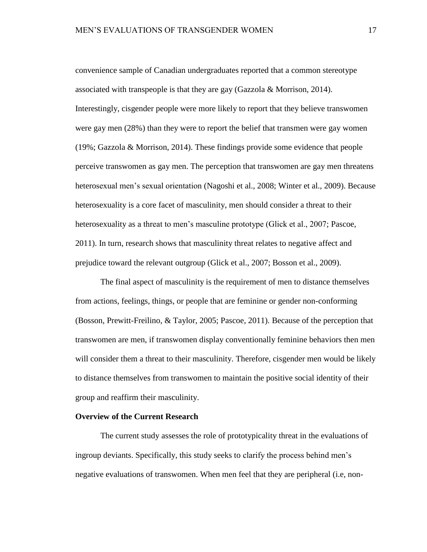convenience sample of Canadian undergraduates reported that a common stereotype associated with transpeople is that they are gay (Gazzola & Morrison, 2014). Interestingly, cisgender people were more likely to report that they believe transwomen were gay men (28%) than they were to report the belief that transmen were gay women (19%; Gazzola & Morrison, 2014). These findings provide some evidence that people perceive transwomen as gay men. The perception that transwomen are gay men threatens heterosexual men's sexual orientation (Nagoshi et al., 2008; Winter et al., 2009). Because heterosexuality is a core facet of masculinity, men should consider a threat to their heterosexuality as a threat to men's masculine prototype (Glick et al., 2007; Pascoe, 2011). In turn, research shows that masculinity threat relates to negative affect and prejudice toward the relevant outgroup (Glick et al., 2007; Bosson et al., 2009).

The final aspect of masculinity is the requirement of men to distance themselves from actions, feelings, things, or people that are feminine or gender non-conforming (Bosson, Prewitt-Freilino, & Taylor, 2005; Pascoe, 2011). Because of the perception that transwomen are men, if transwomen display conventionally feminine behaviors then men will consider them a threat to their masculinity. Therefore, cisgender men would be likely to distance themselves from transwomen to maintain the positive social identity of their group and reaffirm their masculinity.

## <span id="page-23-0"></span>**Overview of the Current Research**

The current study assesses the role of prototypicality threat in the evaluations of ingroup deviants. Specifically, this study seeks to clarify the process behind men's negative evaluations of transwomen. When men feel that they are peripheral (i.e, non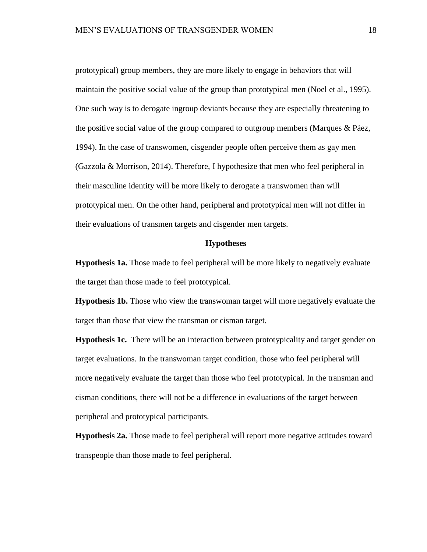prototypical) group members, they are more likely to engage in behaviors that will maintain the positive social value of the group than prototypical men (Noel et al., 1995). One such way is to derogate ingroup deviants because they are especially threatening to the positive social value of the group compared to outgroup members (Marques & Páez, 1994). In the case of transwomen, cisgender people often perceive them as gay men (Gazzola & Morrison, 2014). Therefore, I hypothesize that men who feel peripheral in their masculine identity will be more likely to derogate a transwomen than will prototypical men. On the other hand, peripheral and prototypical men will not differ in their evaluations of transmen targets and cisgender men targets.

# **Hypotheses**

<span id="page-24-1"></span><span id="page-24-0"></span>**Hypothesis 1a.** Those made to feel peripheral will be more likely to negatively evaluate the target than those made to feel prototypical.

<span id="page-24-2"></span>**Hypothesis 1b.** Those who view the transwoman target will more negatively evaluate the target than those that view the transman or cisman target.

<span id="page-24-3"></span>**Hypothesis 1c.** There will be an interaction between prototypicality and target gender on target evaluations. In the transwoman target condition, those who feel peripheral will more negatively evaluate the target than those who feel prototypical. In the transman and cisman conditions, there will not be a difference in evaluations of the target between peripheral and prototypical participants.

<span id="page-24-4"></span>**Hypothesis 2a.** Those made to feel peripheral will report more negative attitudes toward transpeople than those made to feel peripheral.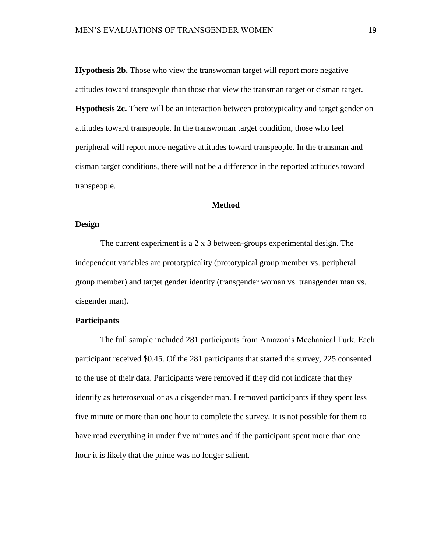<span id="page-25-1"></span><span id="page-25-0"></span>**Hypothesis 2b.** Those who view the transwoman target will report more negative attitudes toward transpeople than those that view the transman target or cisman target. **Hypothesis 2c.** There will be an interaction between prototypicality and target gender on attitudes toward transpeople. In the transwoman target condition, those who feel peripheral will report more negative attitudes toward transpeople. In the transman and cisman target conditions, there will not be a difference in the reported attitudes toward transpeople.

### **Method**

## <span id="page-25-3"></span><span id="page-25-2"></span>**Design**

The current experiment is a 2 x 3 between-groups experimental design. The independent variables are prototypicality (prototypical group member vs. peripheral group member) and target gender identity (transgender woman vs. transgender man vs. cisgender man).

# <span id="page-25-4"></span>**Participants**

The full sample included 281 participants from Amazon's Mechanical Turk. Each participant received \$0.45. Of the 281 participants that started the survey, 225 consented to the use of their data. Participants were removed if they did not indicate that they identify as heterosexual or as a cisgender man. I removed participants if they spent less five minute or more than one hour to complete the survey. It is not possible for them to have read everything in under five minutes and if the participant spent more than one hour it is likely that the prime was no longer salient.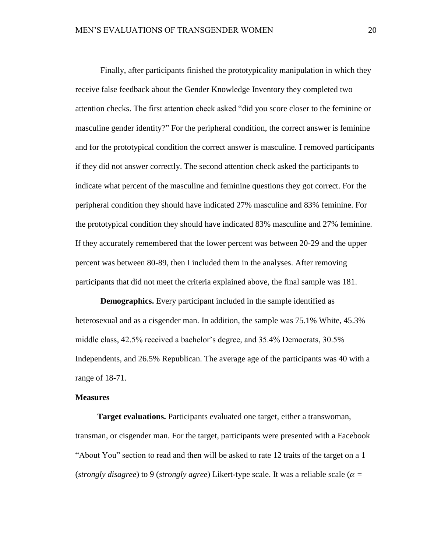Finally, after participants finished the prototypicality manipulation in which they receive false feedback about the Gender Knowledge Inventory they completed two attention checks. The first attention check asked "did you score closer to the feminine or masculine gender identity?" For the peripheral condition, the correct answer is feminine and for the prototypical condition the correct answer is masculine. I removed participants if they did not answer correctly. The second attention check asked the participants to indicate what percent of the masculine and feminine questions they got correct. For the peripheral condition they should have indicated 27% masculine and 83% feminine. For the prototypical condition they should have indicated 83% masculine and 27% feminine. If they accurately remembered that the lower percent was between 20-29 and the upper percent was between 80-89, then I included them in the analyses. After removing participants that did not meet the criteria explained above, the final sample was 181.

**Demographics.** Every participant included in the sample identified as heterosexual and as a cisgender man. In addition, the sample was 75.1% White, 45.3% middle class, 42.5% received a bachelor's degree, and 35.4% Democrats, 30.5% Independents, and 26.5% Republican. The average age of the participants was 40 with a range of 18-71.

#### <span id="page-26-0"></span>**Measures**

**Target evaluations.** Participants evaluated one target, either a transwoman, transman, or cisgender man. For the target, participants were presented with a Facebook "About You" section to read and then will be asked to rate 12 traits of the target on a 1 (*strongly disagree*) to 9 (*strongly agree*) Likert-type scale. It was a reliable scale ( $\alpha$  =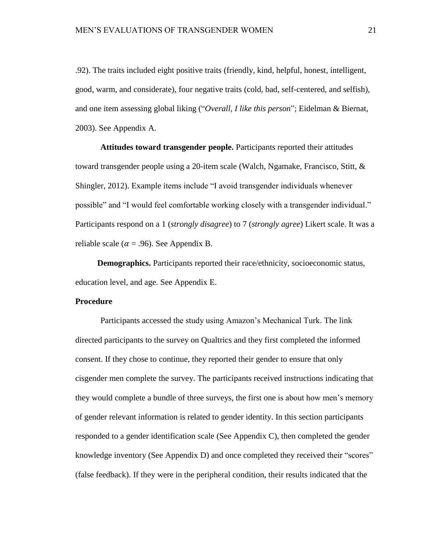.92). The traits included eight positive traits (friendly, kind, helpful, honest, intelligent, good, warm, and considerate), four negative traits (cold, bad, self-centered, and selfish), and one item assessing global liking ("*Overall, I like this person*"; Eidelman & Biernat, 2003). See Appendix A.

**Attitudes toward transgender people.** Participants reported their attitudes toward transgender people using a 20-item scale (Walch, Ngamake, Francisco, Stitt, & Shingler, 2012). Example items include "I avoid transgender individuals whenever possible" and "I would feel comfortable working closely with a transgender individual." Participants respond on a 1 (*strongly disagree*) to 7 (*strongly agree*) Likert scale. It was a reliable scale ( $\alpha$  = .96). See Appendix B.

**Demographics.** Participants reported their race/ethnicity, socioeconomic status, education level, and age. See Appendix E.

# <span id="page-27-0"></span>**Procedure**

Participants accessed the study using Amazon's Mechanical Turk. The link directed participants to the survey on Qualtrics and they first completed the informed consent. If they chose to continue, they reported their gender to ensure that only cisgender men complete the survey. The participants received instructions indicating that they would complete a bundle of three surveys, the first one is about how men's memory of gender relevant information is related to gender identity. In this section participants responded to a gender identification scale (See Appendix C), then completed the gender knowledge inventory (See Appendix D) and once completed they received their "scores" (false feedback). If they were in the peripheral condition, their results indicated that the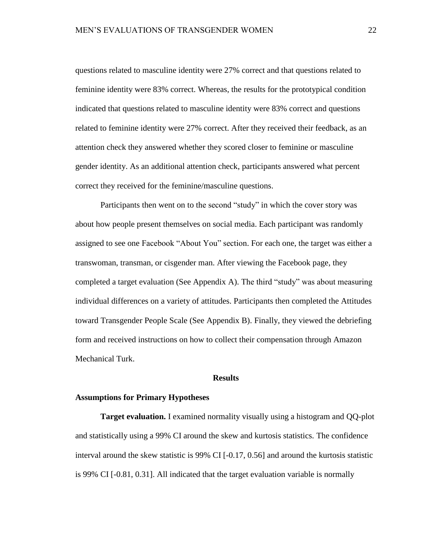questions related to masculine identity were 27% correct and that questions related to feminine identity were 83% correct. Whereas, the results for the prototypical condition indicated that questions related to masculine identity were 83% correct and questions related to feminine identity were 27% correct. After they received their feedback, as an attention check they answered whether they scored closer to feminine or masculine gender identity. As an additional attention check, participants answered what percent correct they received for the feminine/masculine questions.

Participants then went on to the second "study" in which the cover story was about how people present themselves on social media. Each participant was randomly assigned to see one Facebook "About You" section. For each one, the target was either a transwoman, transman, or cisgender man. After viewing the Facebook page, they completed a target evaluation (See Appendix A). The third "study" was about measuring individual differences on a variety of attitudes. Participants then completed the Attitudes toward Transgender People Scale (See Appendix B). Finally, they viewed the debriefing form and received instructions on how to collect their compensation through Amazon Mechanical Turk.

## **Results**

#### <span id="page-28-1"></span><span id="page-28-0"></span>**Assumptions for Primary Hypotheses**

**Target evaluation.** I examined normality visually using a histogram and QQ-plot and statistically using a 99% CI around the skew and kurtosis statistics. The confidence interval around the skew statistic is 99% CI [-0.17, 0.56] and around the kurtosis statistic is 99% CI [-0.81, 0.31]. All indicated that the target evaluation variable is normally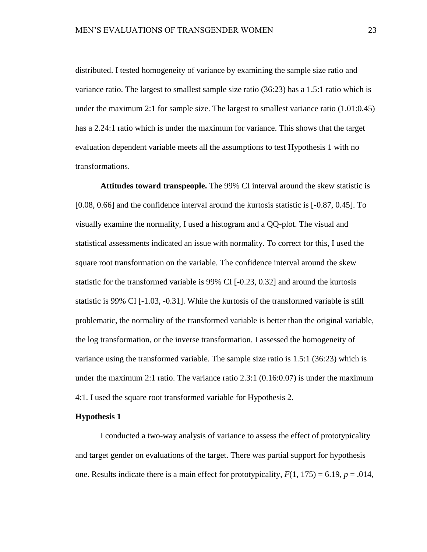distributed. I tested homogeneity of variance by examining the sample size ratio and variance ratio. The largest to smallest sample size ratio (36:23) has a 1.5:1 ratio which is under the maximum 2:1 for sample size. The largest to smallest variance ratio (1.01:0.45) has a 2.24:1 ratio which is under the maximum for variance. This shows that the target evaluation dependent variable meets all the assumptions to test Hypothesis 1 with no transformations.

**Attitudes toward transpeople.** The 99% CI interval around the skew statistic is [0.08, 0.66] and the confidence interval around the kurtosis statistic is [-0.87, 0.45]. To visually examine the normality, I used a histogram and a QQ-plot. The visual and statistical assessments indicated an issue with normality. To correct for this, I used the square root transformation on the variable. The confidence interval around the skew statistic for the transformed variable is  $99\%$  CI [-0.23, 0.32] and around the kurtosis statistic is 99% CI [-1.03, -0.31]. While the kurtosis of the transformed variable is still problematic, the normality of the transformed variable is better than the original variable, the log transformation, or the inverse transformation. I assessed the homogeneity of variance using the transformed variable. The sample size ratio is 1.5:1 (36:23) which is under the maximum 2:1 ratio. The variance ratio 2.3:1 (0.16:0.07) is under the maximum 4:1. I used the square root transformed variable for Hypothesis 2.

#### <span id="page-29-0"></span>**Hypothesis 1**

I conducted a two-way analysis of variance to assess the effect of prototypicality and target gender on evaluations of the target. There was partial support for hypothesis one. Results indicate there is a main effect for prototypicality,  $F(1, 175) = 6.19$ ,  $p = .014$ ,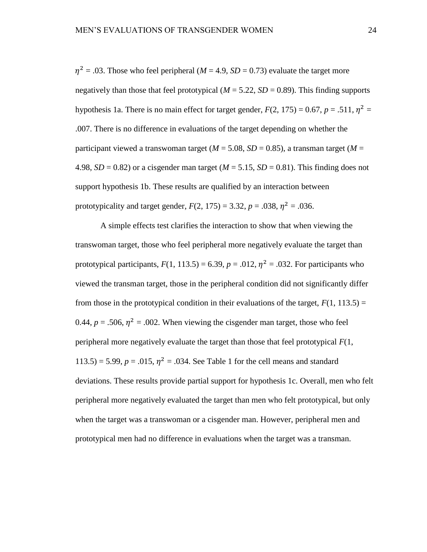$\eta^2$  = .03. Those who feel peripheral (*M* = 4.9, *SD* = 0.73) evaluate the target more negatively than those that feel prototypical ( $M = 5.22$ ,  $SD = 0.89$ ). This finding supports hypothesis 1a. There is no main effect for target gender,  $F(2, 175) = 0.67$ ,  $p = .511$ ,  $\eta^2 =$ .007. There is no difference in evaluations of the target depending on whether the participant viewed a transwoman target ( $M = 5.08$ ,  $SD = 0.85$ ), a transman target ( $M =$ 4.98,  $SD = 0.82$ ) or a cisgender man target ( $M = 5.15$ ,  $SD = 0.81$ ). This finding does not support hypothesis 1b. These results are qualified by an interaction between prototypicality and target gender,  $F(2, 175) = 3.32, p = .038, \eta^2 = .036$ .

A simple effects test clarifies the interaction to show that when viewing the transwoman target, those who feel peripheral more negatively evaluate the target than prototypical participants,  $F(1, 113.5) = 6.39$ ,  $p = .012$ ,  $\eta^2 = .032$ . For participants who viewed the transman target, those in the peripheral condition did not significantly differ from those in the prototypical condition in their evaluations of the target,  $F(1, 113.5) =$ 0.44,  $p = .506$ ,  $\eta^2 = .002$ . When viewing the cisgender man target, those who feel peripheral more negatively evaluate the target than those that feel prototypical  $F(1, \cdot)$ 113.5) = 5.99,  $p = .015$ ,  $\eta^2 = .034$ . See Table 1 for the cell means and standard deviations. These results provide partial support for hypothesis 1c. Overall, men who felt peripheral more negatively evaluated the target than men who felt prototypical, but only when the target was a transwoman or a cisgender man. However, peripheral men and prototypical men had no difference in evaluations when the target was a transman.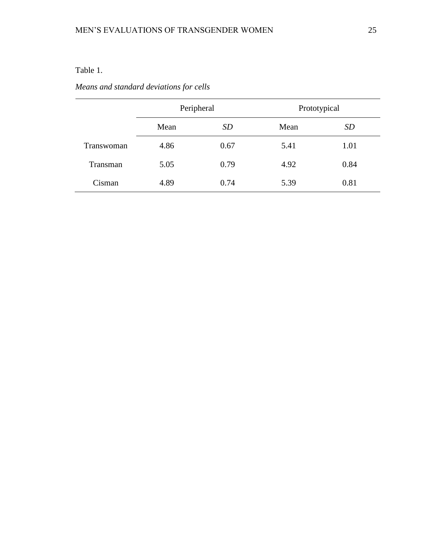# <span id="page-31-0"></span>Table 1.

# *Means and standard deviations for cells*

|            | Peripheral |      | Prototypical |      |  |
|------------|------------|------|--------------|------|--|
|            | Mean       | SD   | Mean         | SD   |  |
| Transwoman | 4.86       | 0.67 | 5.41         | 1.01 |  |
| Transman   | 5.05       | 0.79 | 4.92         | 0.84 |  |
| Cisman     | 4.89       | 0.74 | 5.39         | 0.81 |  |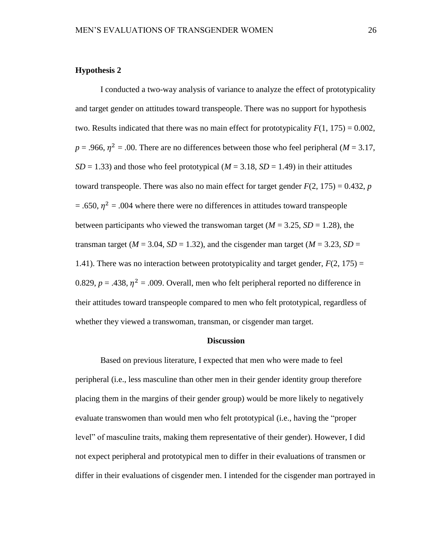# <span id="page-32-0"></span>**Hypothesis 2**

I conducted a two-way analysis of variance to analyze the effect of prototypicality and target gender on attitudes toward transpeople. There was no support for hypothesis two. Results indicated that there was no main effect for prototypicality  $F(1, 175) = 0.002$ ,  $p = .966$ ,  $\eta^2 = .00$ . There are no differences between those who feel peripheral (*M* = 3.17,  $SD = 1.33$ ) and those who feel prototypical ( $M = 3.18$ ,  $SD = 1.49$ ) in their attitudes toward transpeople. There was also no main effect for target gender  $F(2, 175) = 0.432$ , *p*  $=$  .650,  $\eta^2$  = .004 where there were no differences in attitudes toward transpeople between participants who viewed the transwoman target ( $M = 3.25$ ,  $SD = 1.28$ ), the transman target ( $M = 3.04$ ,  $SD = 1.32$ ), and the cisgender man target ( $M = 3.23$ ,  $SD =$ 1.41). There was no interaction between prototypicality and target gender,  $F(2, 175) =$ 0.829,  $p = 0.438$ ,  $\eta^2 = 0.009$ . Overall, men who felt peripheral reported no difference in their attitudes toward transpeople compared to men who felt prototypical, regardless of whether they viewed a transwoman, transman, or cisgender man target.

# **Discussion**

<span id="page-32-1"></span>Based on previous literature, I expected that men who were made to feel peripheral (i.e., less masculine than other men in their gender identity group therefore placing them in the margins of their gender group) would be more likely to negatively evaluate transwomen than would men who felt prototypical (i.e., having the "proper level" of masculine traits, making them representative of their gender). However, I did not expect peripheral and prototypical men to differ in their evaluations of transmen or differ in their evaluations of cisgender men. I intended for the cisgender man portrayed in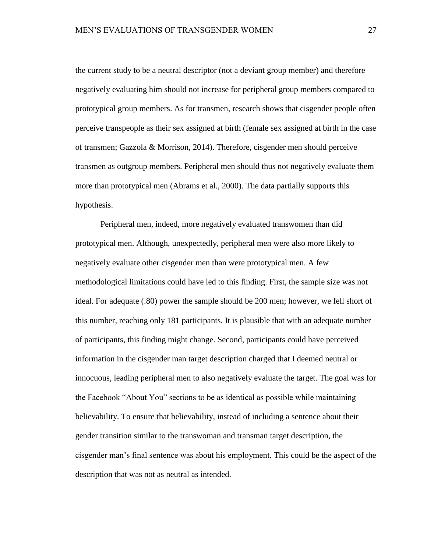the current study to be a neutral descriptor (not a deviant group member) and therefore negatively evaluating him should not increase for peripheral group members compared to prototypical group members. As for transmen, research shows that cisgender people often perceive transpeople as their sex assigned at birth (female sex assigned at birth in the case of transmen; Gazzola & Morrison, 2014). Therefore, cisgender men should perceive transmen as outgroup members. Peripheral men should thus not negatively evaluate them more than prototypical men (Abrams et al., 2000). The data partially supports this hypothesis.

Peripheral men, indeed, more negatively evaluated transwomen than did prototypical men. Although, unexpectedly, peripheral men were also more likely to negatively evaluate other cisgender men than were prototypical men. A few methodological limitations could have led to this finding. First, the sample size was not ideal. For adequate (.80) power the sample should be 200 men; however, we fell short of this number, reaching only 181 participants. It is plausible that with an adequate number of participants, this finding might change. Second, participants could have perceived information in the cisgender man target description charged that I deemed neutral or innocuous, leading peripheral men to also negatively evaluate the target. The goal was for the Facebook "About You" sections to be as identical as possible while maintaining believability. To ensure that believability, instead of including a sentence about their gender transition similar to the transwoman and transman target description, the cisgender man's final sentence was about his employment. This could be the aspect of the description that was not as neutral as intended.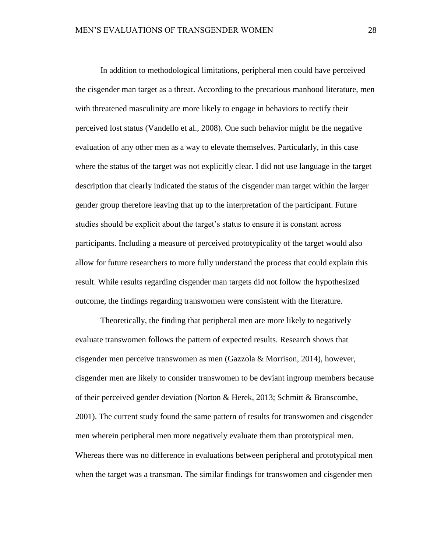In addition to methodological limitations, peripheral men could have perceived the cisgender man target as a threat. According to the precarious manhood literature, men with threatened masculinity are more likely to engage in behaviors to rectify their perceived lost status (Vandello et al., 2008). One such behavior might be the negative evaluation of any other men as a way to elevate themselves. Particularly, in this case where the status of the target was not explicitly clear. I did not use language in the target description that clearly indicated the status of the cisgender man target within the larger gender group therefore leaving that up to the interpretation of the participant. Future studies should be explicit about the target's status to ensure it is constant across participants. Including a measure of perceived prototypicality of the target would also allow for future researchers to more fully understand the process that could explain this result. While results regarding cisgender man targets did not follow the hypothesized outcome, the findings regarding transwomen were consistent with the literature.

Theoretically, the finding that peripheral men are more likely to negatively evaluate transwomen follows the pattern of expected results. Research shows that cisgender men perceive transwomen as men (Gazzola & Morrison, 2014), however, cisgender men are likely to consider transwomen to be deviant ingroup members because of their perceived gender deviation (Norton & Herek, 2013; Schmitt & Branscombe, 2001). The current study found the same pattern of results for transwomen and cisgender men wherein peripheral men more negatively evaluate them than prototypical men. Whereas there was no difference in evaluations between peripheral and prototypical men when the target was a transman. The similar findings for transwomen and cisgender men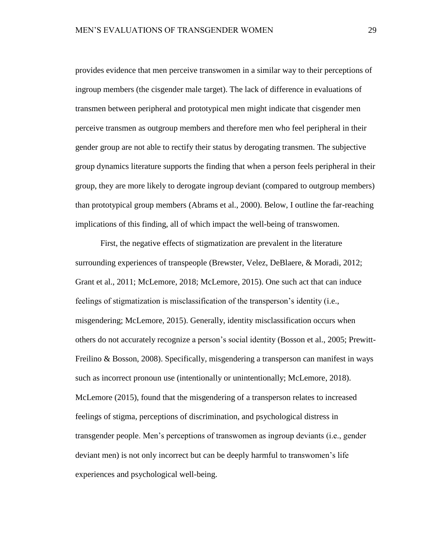provides evidence that men perceive transwomen in a similar way to their perceptions of ingroup members (the cisgender male target). The lack of difference in evaluations of transmen between peripheral and prototypical men might indicate that cisgender men perceive transmen as outgroup members and therefore men who feel peripheral in their gender group are not able to rectify their status by derogating transmen. The subjective group dynamics literature supports the finding that when a person feels peripheral in their group, they are more likely to derogate ingroup deviant (compared to outgroup members) than prototypical group members (Abrams et al., 2000). Below, I outline the far-reaching implications of this finding, all of which impact the well-being of transwomen.

First, the negative effects of stigmatization are prevalent in the literature surrounding experiences of transpeople (Brewster, Velez, DeBlaere, & Moradi, 2012; Grant et al., 2011; McLemore, 2018; McLemore, 2015). One such act that can induce feelings of stigmatization is misclassification of the transperson's identity (i.e., misgendering; McLemore, 2015). Generally, identity misclassification occurs when others do not accurately recognize a person's social identity (Bosson et al., 2005; Prewitt-Freilino & Bosson, 2008). Specifically, misgendering a transperson can manifest in ways such as incorrect pronoun use (intentionally or unintentionally; McLemore, 2018). McLemore (2015), found that the misgendering of a transperson relates to increased feelings of stigma, perceptions of discrimination, and psychological distress in transgender people. Men's perceptions of transwomen as ingroup deviants (i.e., gender deviant men) is not only incorrect but can be deeply harmful to transwomen's life experiences and psychological well-being.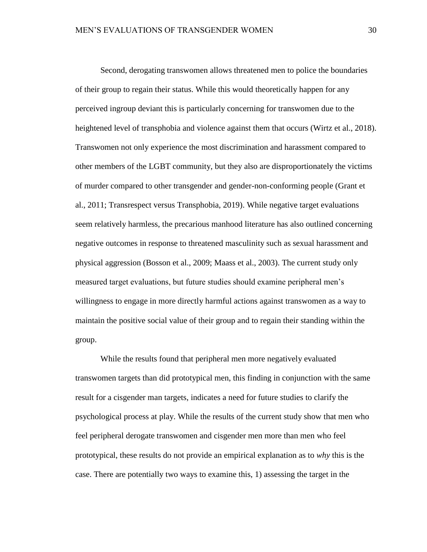Second, derogating transwomen allows threatened men to police the boundaries of their group to regain their status. While this would theoretically happen for any perceived ingroup deviant this is particularly concerning for transwomen due to the heightened level of transphobia and violence against them that occurs (Wirtz et al., 2018). Transwomen not only experience the most discrimination and harassment compared to other members of the LGBT community, but they also are disproportionately the victims of murder compared to other transgender and gender-non-conforming people (Grant et al., 2011; Transrespect versus Transphobia, 2019). While negative target evaluations seem relatively harmless, the precarious manhood literature has also outlined concerning negative outcomes in response to threatened masculinity such as sexual harassment and physical aggression (Bosson et al., 2009; Maass et al., 2003). The current study only measured target evaluations, but future studies should examine peripheral men's willingness to engage in more directly harmful actions against transwomen as a way to maintain the positive social value of their group and to regain their standing within the group.

While the results found that peripheral men more negatively evaluated transwomen targets than did prototypical men, this finding in conjunction with the same result for a cisgender man targets, indicates a need for future studies to clarify the psychological process at play. While the results of the current study show that men who feel peripheral derogate transwomen and cisgender men more than men who feel prototypical, these results do not provide an empirical explanation as to *why* this is the case. There are potentially two ways to examine this, 1) assessing the target in the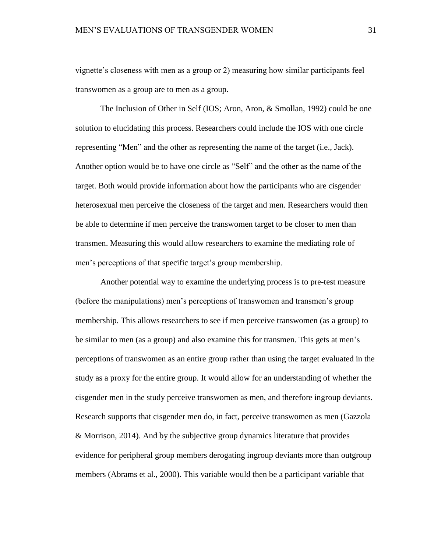vignette's closeness with men as a group or 2) measuring how similar participants feel transwomen as a group are to men as a group.

The Inclusion of Other in Self (IOS; Aron, Aron, & Smollan, 1992) could be one solution to elucidating this process. Researchers could include the IOS with one circle representing "Men" and the other as representing the name of the target (i.e., Jack). Another option would be to have one circle as "Self" and the other as the name of the target. Both would provide information about how the participants who are cisgender heterosexual men perceive the closeness of the target and men. Researchers would then be able to determine if men perceive the transwomen target to be closer to men than transmen. Measuring this would allow researchers to examine the mediating role of men's perceptions of that specific target's group membership.

Another potential way to examine the underlying process is to pre-test measure (before the manipulations) men's perceptions of transwomen and transmen's group membership. This allows researchers to see if men perceive transwomen (as a group) to be similar to men (as a group) and also examine this for transmen. This gets at men's perceptions of transwomen as an entire group rather than using the target evaluated in the study as a proxy for the entire group. It would allow for an understanding of whether the cisgender men in the study perceive transwomen as men, and therefore ingroup deviants. Research supports that cisgender men do, in fact, perceive transwomen as men (Gazzola & Morrison, 2014). And by the subjective group dynamics literature that provides evidence for peripheral group members derogating ingroup deviants more than outgroup members (Abrams et al., 2000). This variable would then be a participant variable that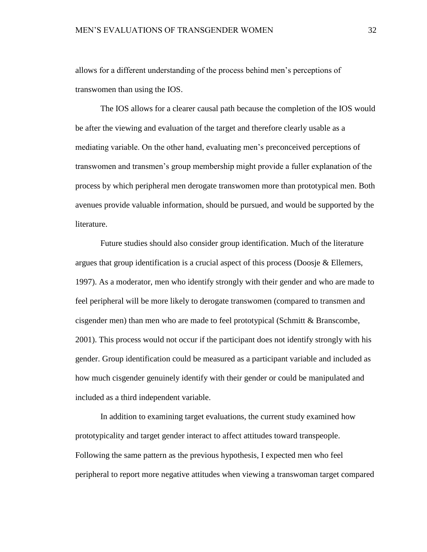allows for a different understanding of the process behind men's perceptions of transwomen than using the IOS.

The IOS allows for a clearer causal path because the completion of the IOS would be after the viewing and evaluation of the target and therefore clearly usable as a mediating variable. On the other hand, evaluating men's preconceived perceptions of transwomen and transmen's group membership might provide a fuller explanation of the process by which peripheral men derogate transwomen more than prototypical men. Both avenues provide valuable information, should be pursued, and would be supported by the literature.

Future studies should also consider group identification. Much of the literature argues that group identification is a crucial aspect of this process (Doosje  $\&$  Ellemers, 1997). As a moderator, men who identify strongly with their gender and who are made to feel peripheral will be more likely to derogate transwomen (compared to transmen and cisgender men) than men who are made to feel prototypical (Schmitt & Branscombe, 2001). This process would not occur if the participant does not identify strongly with his gender. Group identification could be measured as a participant variable and included as how much cisgender genuinely identify with their gender or could be manipulated and included as a third independent variable.

In addition to examining target evaluations, the current study examined how prototypicality and target gender interact to affect attitudes toward transpeople. Following the same pattern as the previous hypothesis, I expected men who feel peripheral to report more negative attitudes when viewing a transwoman target compared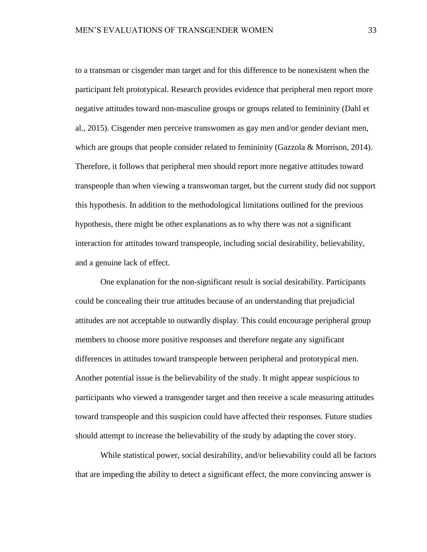to a transman or cisgender man target and for this difference to be nonexistent when the participant felt prototypical. Research provides evidence that peripheral men report more negative attitudes toward non-masculine groups or groups related to femininity (Dahl et al., 2015). Cisgender men perceive transwomen as gay men and/or gender deviant men, which are groups that people consider related to femininity (Gazzola & Morrison, 2014). Therefore, it follows that peripheral men should report more negative attitudes toward transpeople than when viewing a transwoman target, but the current study did not support this hypothesis. In addition to the methodological limitations outlined for the previous hypothesis, there might be other explanations as to why there was not a significant interaction for attitudes toward transpeople, including social desirability, believability, and a genuine lack of effect.

One explanation for the non-significant result is social desirability. Participants could be concealing their true attitudes because of an understanding that prejudicial attitudes are not acceptable to outwardly display. This could encourage peripheral group members to choose more positive responses and therefore negate any significant differences in attitudes toward transpeople between peripheral and prototypical men. Another potential issue is the believability of the study. It might appear suspicious to participants who viewed a transgender target and then receive a scale measuring attitudes toward transpeople and this suspicion could have affected their responses. Future studies should attempt to increase the believability of the study by adapting the cover story.

While statistical power, social desirability, and/or believability could all be factors that are impeding the ability to detect a significant effect, the more convincing answer is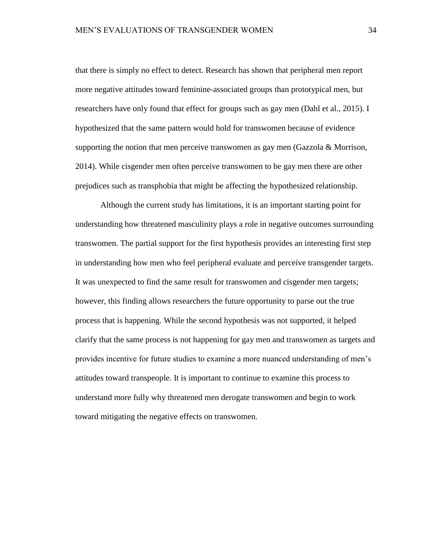that there is simply no effect to detect. Research has shown that peripheral men report more negative attitudes toward feminine-associated groups than prototypical men, but researchers have only found that effect for groups such as gay men (Dahl et al., 2015). I hypothesized that the same pattern would hold for transwomen because of evidence supporting the notion that men perceive transwomen as gay men (Gazzola & Morrison, 2014). While cisgender men often perceive transwomen to be gay men there are other prejudices such as transphobia that might be affecting the hypothesized relationship.

Although the current study has limitations, it is an important starting point for understanding how threatened masculinity plays a role in negative outcomes surrounding transwomen. The partial support for the first hypothesis provides an interesting first step in understanding how men who feel peripheral evaluate and perceive transgender targets. It was unexpected to find the same result for transwomen and cisgender men targets; however, this finding allows researchers the future opportunity to parse out the true process that is happening. While the second hypothesis was not supported, it helped clarify that the same process is not happening for gay men and transwomen as targets and provides incentive for future studies to examine a more nuanced understanding of men's attitudes toward transpeople. It is important to continue to examine this process to understand more fully why threatened men derogate transwomen and begin to work toward mitigating the negative effects on transwomen.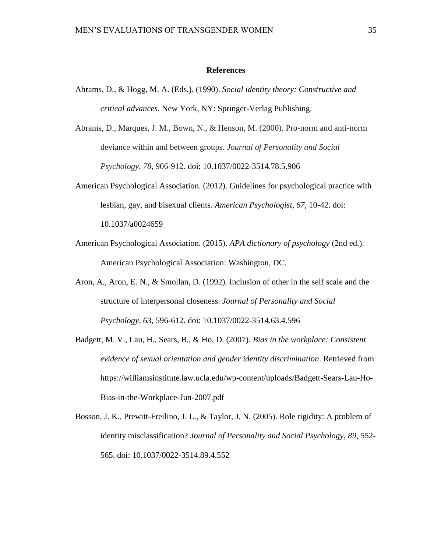#### **References**

- <span id="page-41-0"></span>Abrams, D., & Hogg, M. A. (Eds.). (1990). *Social identity theory: Constructive and critical advances.* New York, NY: Springer-Verlag Publishing.
- Abrams, D., Marques, J. M., Bown, N., & Henson, M. (2000). Pro-norm and anti-norm deviance within and between groups. *Journal of Personality and Social Psychology*, *78*, 906-912. doi: 10.1037/0022-3514.78.5.906
- American Psychological Association. (2012). Guidelines for psychological practice with lesbian, gay, and bisexual clients. *American Psychologist*, *67*, 10-42. doi: 10.1037/a0024659
- American Psychological Association. (2015). *APA dictionary of psychology* (2nd ed.). American Psychological Association: Washington, DC.
- Aron, A., Aron, E. N., & Smollan, D. (1992). Inclusion of other in the self scale and the structure of interpersonal closeness. *Journal of Personality and Social Psychology, 63*, 596-612. doi: 10.1037/0022-3514.63.4.596
- Badgett, M. V., Lau, H., Sears, B., & Ho, D. (2007). *Bias in the workplace: Consistent evidence of sexual orientation and gender identity discrimination*. Retrieved from https://williamsinstitute.law.ucla.edu/wp-content/uploads/Badgett-Sears-Lau-Ho-Bias-in-the-Workplace-Jun-2007.pdf
- Bosson, J. K., Prewitt-Freilino, J. L., & Taylor, J. N. (2005). Role rigidity: A problem of identity misclassification? *Journal of Personality and Social Psychology*, *89*, 552- 565. doi: 10.1037/0022-3514.89.4.552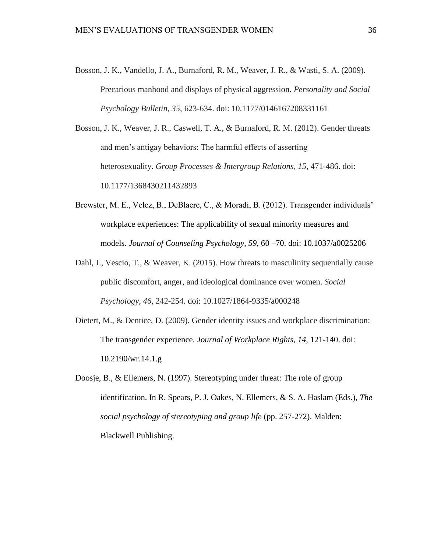Bosson, J. K., Vandello, J. A., Burnaford, R. M., Weaver, J. R., & Wasti, S. A. (2009). Precarious manhood and displays of physical aggression. *Personality and Social Psychology Bulletin*, *35*, 623-634. doi: 10.1177/0146167208331161

Bosson, J. K., Weaver, J. R., Caswell, T. A., & Burnaford, R. M. (2012). Gender threats and men's antigay behaviors: The harmful effects of asserting heterosexuality. *Group Processes & Intergroup Relations*, *15*, 471-486. doi: 10.1177/1368430211432893

- Brewster, M. E., Velez, B., DeBlaere, C., & Moradi, B. (2012). Transgender individuals' workplace experiences: The applicability of sexual minority measures and models. *Journal of Counseling Psychology, 59*, 60 –70. doi: 10.1037/a0025206
- Dahl, J., Vescio, T., & Weaver, K. (2015). How threats to masculinity sequentially cause public discomfort, anger, and ideological dominance over women. *Social Psychology*, *46*, 242-254. doi: 10.1027/1864-9335/a000248
- Dietert, M., & Dentice, D. (2009). Gender identity issues and workplace discrimination: The transgender experience. *Journal of Workplace Rights*, *14*, 121-140. doi: 10.2190/wr.14.1.g
- Doosje, B., & Ellemers, N. (1997). Stereotyping under threat: The role of group identification. In R. Spears, P. J. Oakes, N. Ellemers, & S. A. Haslam (Eds.), *The social psychology of stereotyping and group life* (pp. 257-272). Malden: Blackwell Publishing.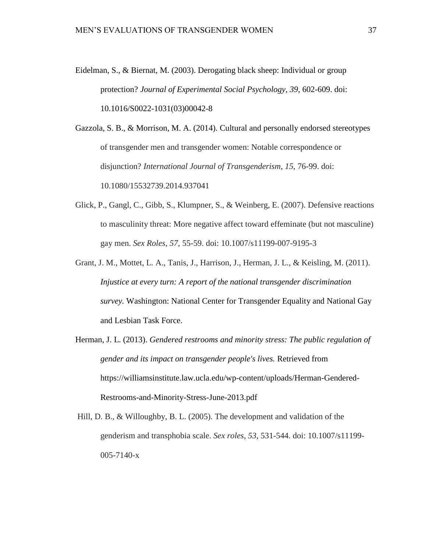Eidelman, S., & Biernat, M. (2003). Derogating black sheep: Individual or group protection? *Journal of Experimental Social Psychology, 39*, 602-609. doi: 10.1016/S0022-1031(03)00042-8

Gazzola, S. B., & Morrison, M. A. (2014). Cultural and personally endorsed stereotypes of transgender men and transgender women: Notable correspondence or disjunction? *International Journal of Transgenderism*, *15*, 76-99. doi: 10.1080/15532739.2014.937041

- Glick, P., Gangl, C., Gibb, S., Klumpner, S., & Weinberg, E. (2007). Defensive reactions to masculinity threat: More negative affect toward effeminate (but not masculine) gay men. *Sex Roles*, *57*, 55-59. doi: 10.1007/s11199-007-9195-3
- Grant, J. M., Mottet, L. A., Tanis, J., Harrison, J., Herman, J. L., & Keisling, M. (2011). *Injustice at every turn: A report of the national transgender discrimination survey.* Washington: National Center for Transgender Equality and National Gay and Lesbian Task Force.
- Herman, J. L. (2013). *Gendered restrooms and minority stress: The public regulation of gender and its impact on transgender people's lives.* Retrieved from https://williamsinstitute.law.ucla.edu/wp-content/uploads/Herman-Gendered-Restrooms-and-Minority-Stress-June-2013.pdf
- Hill, D. B., & Willoughby, B. L. (2005). The development and validation of the genderism and transphobia scale. *Sex roles*, *53*, 531-544. doi: 10.1007/s11199- 005-7140-x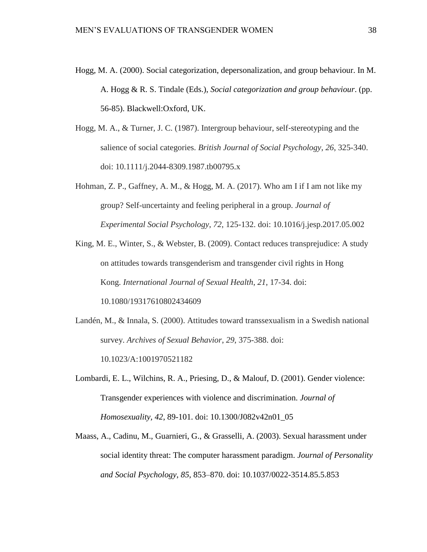- Hogg, M. A. (2000). Social categorization, depersonalization, and group behaviour. In M. A. Hogg & R. S. Tindale (Eds.), *Social categorization and group behaviour*. (pp. 56-85). Blackwell:Oxford, UK.
- Hogg, M. A., & Turner, J. C. (1987). Intergroup behaviour, self‐stereotyping and the salience of social categories. *British Journal of Social Psychology*, *26*, 325-340. doi: 10.1111/j.2044-8309.1987.tb00795.x
- Hohman, Z. P., Gaffney, A. M., & Hogg, M. A. (2017). Who am I if I am not like my group? Self-uncertainty and feeling peripheral in a group. *Journal of Experimental Social Psychology*, *72*, 125-132. doi: 10.1016/j.jesp.2017.05.002
- King, M. E., Winter, S., & Webster, B. (2009). Contact reduces transprejudice: A study on attitudes towards transgenderism and transgender civil rights in Hong Kong. *International Journal of Sexual Health*, *21*, 17-34. doi: 10.1080/19317610802434609
- Landén, M., & Innala, S. (2000). Attitudes toward transsexualism in a Swedish national survey. *Archives of Sexual Behavior*, *29*, 375-388. doi: 10.1023/A:1001970521182
- Lombardi, E. L., Wilchins, R. A., Priesing, D., & Malouf, D. (2001). Gender violence: Transgender experiences with violence and discrimination. *Journal of Homosexuality, 42*, 89-101. doi: 10.1300/J082v42n01\_05
- Maass, A., Cadinu, M., Guarnieri, G., & Grasselli, A. (2003). Sexual harassment under social identity threat: The computer harassment paradigm. *Journal of Personality and Social Psychology*, *85*, 853–870. doi: 10.1037/0022-3514.85.5.853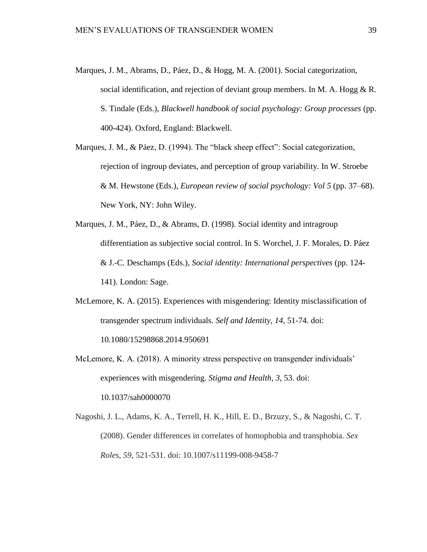- Marques, J. M., Abrams, D., Páez, D., & Hogg, M. A. (2001). Social categorization, social identification, and rejection of deviant group members. In M. A. Hogg  $\& R$ . S. Tindale (Eds.), *Blackwell handbook of social psychology: Group processes* (pp. 400-424). Oxford, England: Blackwell.
- Marques, J. M., & Páez, D. (1994). The "black sheep effect": Social categorization, rejection of ingroup deviates, and perception of group variability. In W. Stroebe & M. Hewstone (Eds.), *European review of social psychology: Vol 5* (pp. 37–68). New York, NY: John Wiley.
- Marques, J. M., Páez, D., & Abrams, D. (1998). Social identity and intragroup differentiation as subjective social control. In S. Worchel, J. F. Morales, D. Páez & J.-C. Deschamps (Eds.), *Social identity: International perspectives* (pp. 124- 141). London: Sage.
- McLemore, K. A. (2015). Experiences with misgendering: Identity misclassification of transgender spectrum individuals. *Self and Identity, 14*, 51-74. doi: 10.1080/15298868.2014.950691
- McLemore, K. A. (2018). A minority stress perspective on transgender individuals' experiences with misgendering. *Stigma and Health, 3*, 53. doi: 10.1037/sah0000070
- Nagoshi, J. L., Adams, K. A., Terrell, H. K., Hill, E. D., Brzuzy, S., & Nagoshi, C. T. (2008). Gender differences in correlates of homophobia and transphobia. *Sex Roles*, *59*, 521-531. doi: 10.1007/s11199-008-9458-7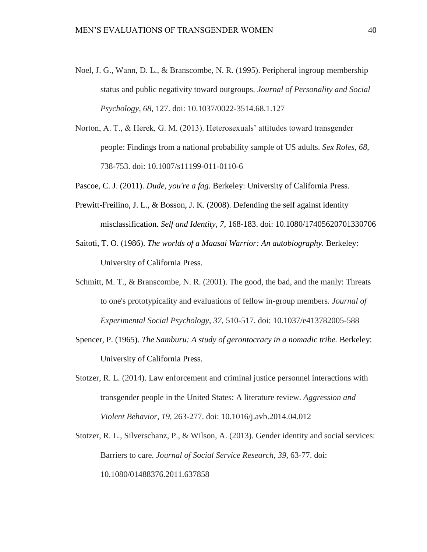- Noel, J. G., Wann, D. L., & Branscombe, N. R. (1995). Peripheral ingroup membership status and public negativity toward outgroups. *Journal of Personality and Social Psychology*, *68*, 127. doi: 10.1037/0022-3514.68.1.127
- Norton, A. T., & Herek, G. M. (2013). Heterosexuals' attitudes toward transgender people: Findings from a national probability sample of US adults. *Sex Roles*, *68*, 738-753. doi: 10.1007/s11199-011-0110-6
- Pascoe, C. J. (2011). *Dude, you're a fag*. Berkeley: University of California Press.
- Prewitt-Freilino, J. L., & Bosson, J. K. (2008). Defending the self against identity misclassification. *Self and Identity, 7*, 168-183. doi: 10.1080/17405620701330706
- Saitoti, T. O. (1986). *The worlds of a Maasai Warrior: An autobiography.* Berkeley: University of California Press.
- Schmitt, M. T., & Branscombe, N. R. (2001). The good, the bad, and the manly: Threats to one's prototypicality and evaluations of fellow in-group members. *Journal of Experimental Social Psychology*, *37*, 510-517. doi: 10.1037/e413782005-588
- Spencer, P. (1965). *The Samburu: A study of gerontocracy in a nomadic tribe.* Berkeley: University of California Press.
- Stotzer, R. L. (2014). Law enforcement and criminal justice personnel interactions with transgender people in the United States: A literature review. *Aggression and Violent Behavior*, *19*, 263-277. doi: 10.1016/j.avb.2014.04.012
- Stotzer, R. L., Silverschanz, P., & Wilson, A. (2013). Gender identity and social services: Barriers to care. *Journal of Social Service Research*, *39*, 63-77. doi: 10.1080/01488376.2011.637858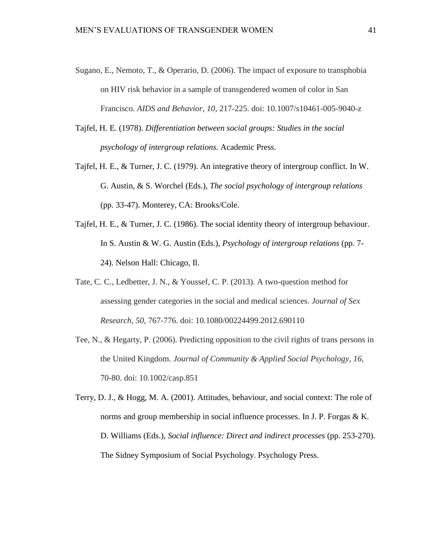- Sugano, E., Nemoto, T., & Operario, D. (2006). The impact of exposure to transphobia on HIV risk behavior in a sample of transgendered women of color in San Francisco. *AIDS and Behavior, 10*, 217-225. doi: 10.1007/s10461-005-9040-z
- Tajfel, H. E. (1978). *Differentiation between social groups: Studies in the social psychology of intergroup relations.* Academic Press.
- Tajfel, H. E., & Turner, J. C. (1979). An integrative theory of intergroup conflict. In W. G. Austin, & S. Worchel (Eds.), *The social psychology of intergroup relations*  (pp. 33-47). Monterey, CA: Brooks/Cole.
- Tajfel, H. E., & Turner, J. C. (1986). The social identity theory of intergroup behaviour. In S. Austin & W. G. Austin (Eds.), *Psychology of intergroup relations* (pp. 7- 24). Nelson Hall: Chicago, Il.
- Tate, C. C., Ledbetter, J. N., & Youssef, C. P. (2013). A two-question method for assessing gender categories in the social and medical sciences. *Journal of Sex Research*, *50*, 767-776. doi: 10.1080/00224499.2012.690110
- Tee, N., & Hegarty, P. (2006). Predicting opposition to the civil rights of trans persons in the United Kingdom. *Journal of Community & Applied Social Psychology*, *16*, 70-80. doi: 10.1002/casp.851
- Terry, D. J., & Hogg, M. A. (2001). Attitudes, behaviour, and social context: The role of norms and group membership in social influence processes. In J. P. Forgas & K. D. Williams (Eds.), *Social influence: Direct and indirect processes* (pp. 253-270). The Sidney Symposium of Social Psychology. Psychology Press.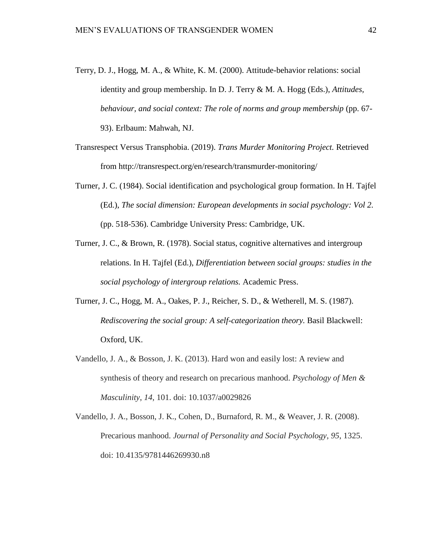- Terry, D. J., Hogg, M. A., & White, K. M. (2000). Attitude-behavior relations: social identity and group membership. In D. J. Terry & M. A. Hogg (Eds.), *Attitudes, behaviour, and social context: The role of norms and group membership* (pp. 67- 93). Erlbaum: Mahwah, NJ.
- Transrespect Versus Transphobia. (2019). *Trans Murder Monitoring Project.* Retrieved from http://transrespect.org/en/research/transmurder-monitoring/
- Turner, J. C. (1984). Social identification and psychological group formation. In H. Tajfel (Ed.), *The social dimension: European developments in social psychology: Vol 2.* (pp. 518-536). Cambridge University Press: Cambridge, UK.
- Turner, J. C., & Brown, R. (1978). Social status, cognitive alternatives and intergroup relations. In H. Tajfel (Ed.), *Differentiation between social groups: studies in the social psychology of intergroup relations.* Academic Press.
- Turner, J. C., Hogg, M. A., Oakes, P. J., Reicher, S. D., & Wetherell, M. S. (1987). *Rediscovering the social group: A self-categorization theory. Basil Blackwell:* Oxford, UK.
- Vandello, J. A., & Bosson, J. K. (2013). Hard won and easily lost: A review and synthesis of theory and research on precarious manhood. *Psychology of Men & Masculinity*, *14*, 101. doi: 10.1037/a0029826
- Vandello, J. A., Bosson, J. K., Cohen, D., Burnaford, R. M., & Weaver, J. R. (2008). Precarious manhood. *Journal of Personality and Social Psychology*, *95*, 1325. doi: 10.4135/9781446269930.n8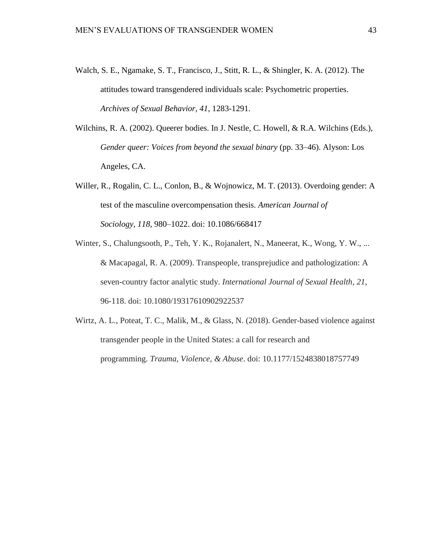- Walch, S. E., Ngamake, S. T., Francisco, J., Stitt, R. L., & Shingler, K. A. (2012). The attitudes toward transgendered individuals scale: Psychometric properties. *Archives of Sexual Behavior, 41*, 1283-1291.
- Wilchins, R. A. (2002). Queerer bodies. In J. Nestle, C. Howell, & R.A. Wilchins (Eds.), *Gender queer: Voices from beyond the sexual binary* (pp. 33–46). Alyson: Los Angeles, CA.
- Willer, R., Rogalin, C. L., Conlon, B., & Wojnowicz, M. T. (2013). Overdoing gender: A test of the masculine overcompensation thesis. *American Journal of Sociology*, *118*, 980–1022. doi: 10.1086/668417
- Winter, S., Chalungsooth, P., Teh, Y. K., Rojanalert, N., Maneerat, K., Wong, Y. W., ... & Macapagal, R. A. (2009). Transpeople, transprejudice and pathologization: A seven-country factor analytic study. *International Journal of Sexual Health*, *21*, 96-118. doi: 10.1080/19317610902922537
- Wirtz, A. L., Poteat, T. C., Malik, M., & Glass, N. (2018). Gender-based violence against transgender people in the United States: a call for research and programming. *Trauma, Violence, & Abuse*. doi: 10.1177/1524838018757749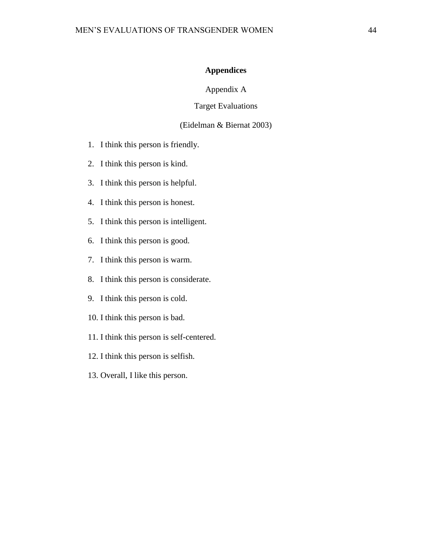# **Appendices**

Appendix A

# Target Evaluations

# (Eidelman & Biernat 2003)

- <span id="page-50-1"></span><span id="page-50-0"></span>1. I think this person is friendly.
- 2. I think this person is kind.
- 3. I think this person is helpful.
- 4. I think this person is honest.
- 5. I think this person is intelligent.
- 6. I think this person is good.
- 7. I think this person is warm.
- 8. I think this person is considerate.
- 9. I think this person is cold.
- 10. I think this person is bad.
- 11. I think this person is self-centered.
- 12. I think this person is selfish.
- 13. Overall, I like this person.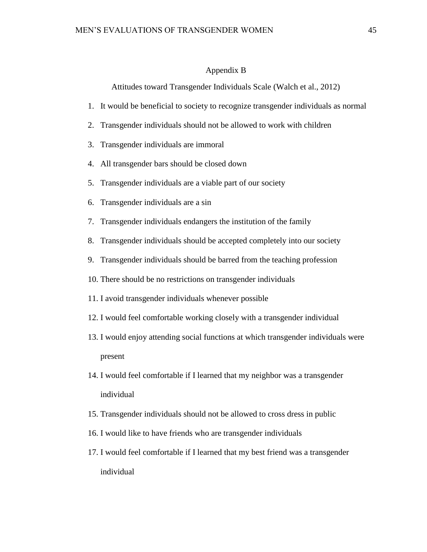# Appendix B

Attitudes toward Transgender Individuals Scale (Walch et al., 2012)

- <span id="page-51-0"></span>1. It would be beneficial to society to recognize transgender individuals as normal
- 2. Transgender individuals should not be allowed to work with children
- 3. Transgender individuals are immoral
- 4. All transgender bars should be closed down
- 5. Transgender individuals are a viable part of our society
- 6. Transgender individuals are a sin
- 7. Transgender individuals endangers the institution of the family
- 8. Transgender individuals should be accepted completely into our society
- 9. Transgender individuals should be barred from the teaching profession
- 10. There should be no restrictions on transgender individuals
- 11. I avoid transgender individuals whenever possible
- 12. I would feel comfortable working closely with a transgender individual
- 13. I would enjoy attending social functions at which transgender individuals were present
- 14. I would feel comfortable if I learned that my neighbor was a transgender individual
- 15. Transgender individuals should not be allowed to cross dress in public
- 16. I would like to have friends who are transgender individuals
- 17. I would feel comfortable if I learned that my best friend was a transgender individual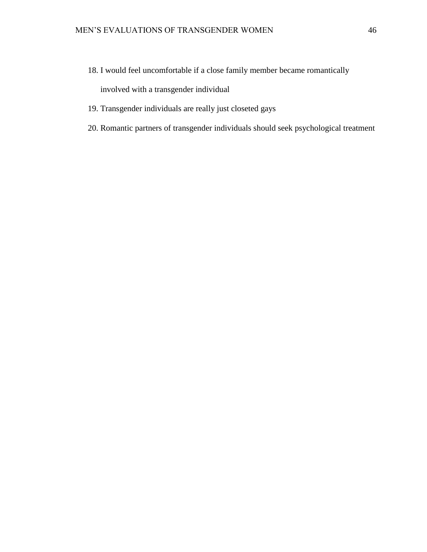- 18. I would feel uncomfortable if a close family member became romantically involved with a transgender individual
- 19. Transgender individuals are really just closeted gays
- 20. Romantic partners of transgender individuals should seek psychological treatment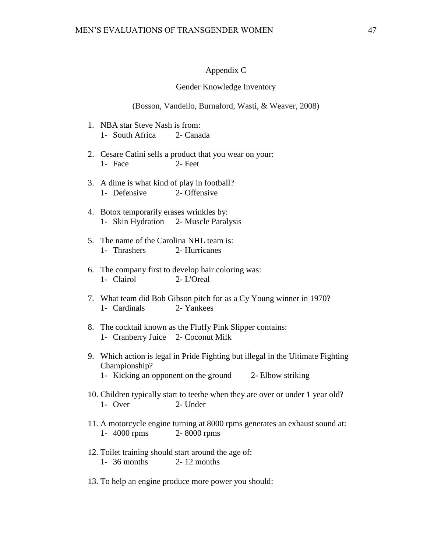# Appendix C

#### Gender Knowledge Inventory

(Bosson, Vandello, Burnaford, Wasti, & Weaver, 2008)

- <span id="page-53-0"></span>1. NBA star Steve Nash is from: 1- South Africa 2- Canada
- 2. Cesare Catini sells a product that you wear on your: 1- Face 2- Feet
- 3. A dime is what kind of play in football? 1- Defensive 2- Offensive
- 4. Botox temporarily erases wrinkles by: 1- Skin Hydration 2- Muscle Paralysis
- 5. The name of the Carolina NHL team is: 1- Thrashers 2- Hurricanes
- 6. The company first to develop hair coloring was: 1- Clairol 2- L'Oreal
- 7. What team did Bob Gibson pitch for as a Cy Young winner in 1970? 1- Cardinals 2- Yankees
- 8. The cocktail known as the Fluffy Pink Slipper contains: 1- Cranberry Juice 2- Coconut Milk
- 9. Which action is legal in Pride Fighting but illegal in the Ultimate Fighting Championship? 1- Kicking an opponent on the ground 2- Elbow striking
- 10. Children typically start to teethe when they are over or under 1 year old? 1- Over 2- Under
- 11. A motorcycle engine turning at 8000 rpms generates an exhaust sound at: 1- 4000 rpms 2- 8000 rpms
- 12. Toilet training should start around the age of: 1- 36 months 2- 12 months
- 13. To help an engine produce more power you should: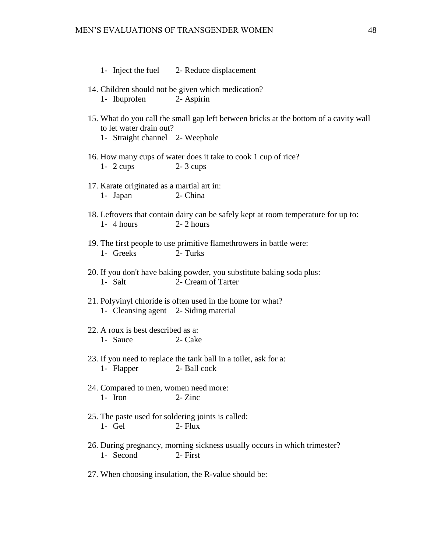- 1- Inject the fuel 2- Reduce displacement
- 14. Children should not be given which medication? 1- Ibuprofen 2- Aspirin
- 15. What do you call the small gap left between bricks at the bottom of a cavity wall to let water drain out? 1- Straight channel 2- Weephole
- 16. How many cups of water does it take to cook 1 cup of rice? 1- 2 cups 2- 3 cups
- 17. Karate originated as a martial art in: 1- Japan 2- China
- 18. Leftovers that contain dairy can be safely kept at room temperature for up to:  $1 - 4$  hours  $2 - 2$  hours
- 19. The first people to use primitive flamethrowers in battle were: 1- Greeks 2- Turks
- 20. If you don't have baking powder, you substitute baking soda plus: 1- Salt 2- Cream of Tarter
- 21. Polyvinyl chloride is often used in the home for what? 1- Cleansing agent 2- Siding material
- 22. A roux is best described as a: 1- Sauce 2- Cake
- 23. If you need to replace the tank ball in a toilet, ask for a: 1- Flapper 2- Ball cock
- 24. Compared to men, women need more: 1- Iron  $2-Zinc$
- 25. The paste used for soldering joints is called: 1- Gel 2- Flux
- 26. During pregnancy, morning sickness usually occurs in which trimester? 1- Second 2- First
- 27. When choosing insulation, the R-value should be: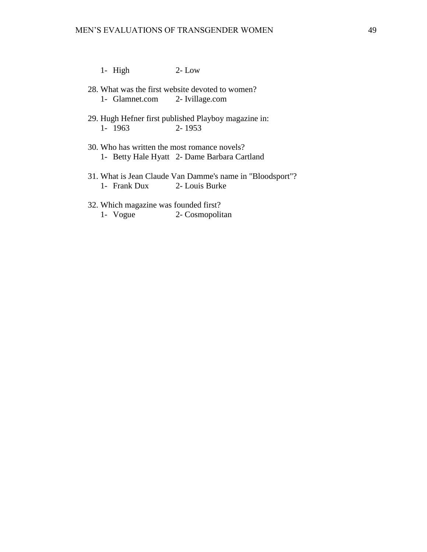- 1- High 2- Low
- 28. What was the first website devoted to women? 1- Glamnet.com 2- Ivillage.com
- 29. Hugh Hefner first published Playboy magazine in: 1- 1963 2- 1953
- 30. Who has written the most romance novels? 1- Betty Hale Hyatt 2- Dame Barbara Cartland
- 31. What is Jean Claude Van Damme's name in "Bloodsport"? 1- Frank Dux 2- Louis Burke
- 32. Which magazine was founded first? 1- Vogue 2- Cosmopolitan